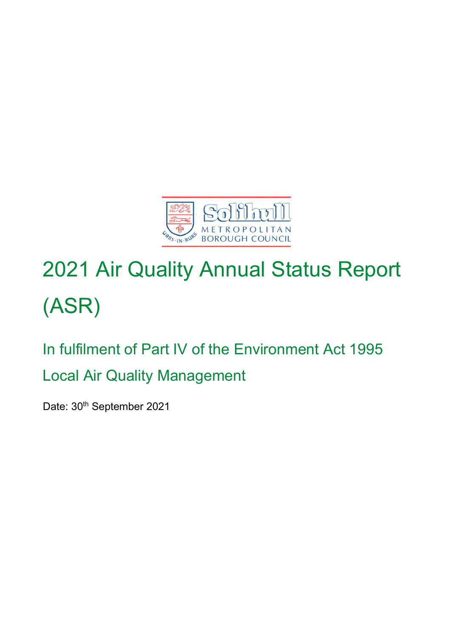

# 2021 Air Quality Annual Status Report (ASR)

## In fulfilment of Part IV of the Environment Act 1995 Local Air Quality Management

Date: 30<sup>th</sup> September 2021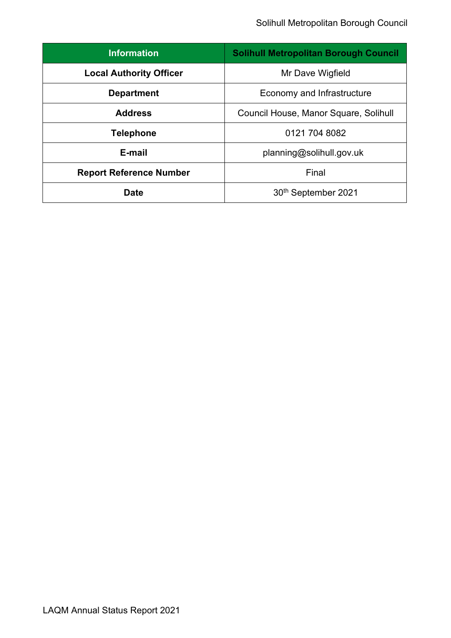| <b>Information</b>             | <b>Solihull Metropolitan Borough Council</b> |
|--------------------------------|----------------------------------------------|
| <b>Local Authority Officer</b> | Mr Dave Wigfield                             |
| <b>Department</b>              | Economy and Infrastructure                   |
| <b>Address</b>                 | Council House, Manor Square, Solihull        |
| <b>Telephone</b>               | 0121 704 8082                                |
| E-mail                         | planning@solihull.gov.uk                     |
| <b>Report Reference Number</b> | Final                                        |
| Date                           | 30 <sup>th</sup> September 2021              |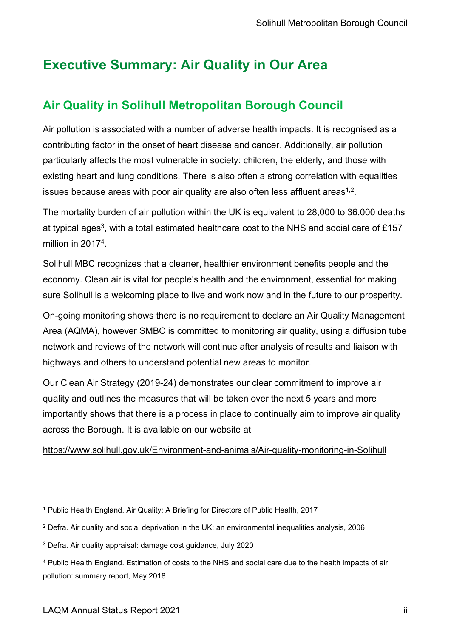### <span id="page-2-0"></span>**Executive Summary: Air Quality in Our Area**

### <span id="page-2-1"></span>**Air Quality in Solihull Metropolitan Borough Council**

Air pollution is associated with a number of adverse health impacts. It is recognised as a contributing factor in the onset of heart disease and cancer. Additionally, air pollution particularly affects the most vulnerable in society: children, the elderly, and those with existing heart and lung conditions. There is also often a strong correlation with equalities issues because areas with poor air quality are also often less affluent areas $^{\rm 1,2}.$ 

The mortality burden of air pollution within the UK is equivalent to 28,000 to 36,000 deaths at typical ages $^3$ , with a total estimated healthcare cost to the NHS and social care of £157  $\,$ million in 2017<sup>4</sup>.

Solihull MBC recognizes that a cleaner, healthier environment benefits people and the economy. Clean air is vital for people's health and the environment, essential for making sure Solihull is a welcoming place to live and work now and in the future to our prosperity.

On-going monitoring shows there is no requirement to declare an Air Quality Management Area (AQMA), however SMBC is committed to monitoring air quality, using a diffusion tube network and reviews of the network will continue after analysis of results and liaison with highways and others to understand potential new areas to monitor.

Our Clean Air Strategy (2019-24) demonstrates our clear commitment to improve air quality and outlines the measures that will be taken over the next 5 years and more importantly shows that there is a process in place to continually aim to improve air quality across the Borough. It is available on our website at

### <https://www.solihull.gov.uk/Environment-and-animals/Air-quality-monitoring-in-Solihull>

<sup>1</sup> Public Health England. Air Quality: A Briefing for Directors of Public Health, 2017

<sup>2</sup> Defra. Air quality and social deprivation in the UK: an environmental inequalities analysis, 2006

<sup>3</sup> Defra. Air quality appraisal: damage cost guidance, July 2020

<sup>4</sup> Public Health England. Estimation of costs to the NHS and social care due to the health impacts of air pollution: summary report, May 2018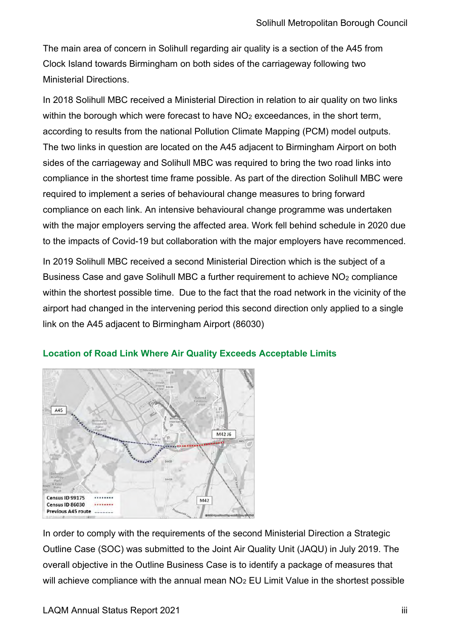The main area of concern in Solihull regarding air quality is a section of the A45 from Clock Island towards Birmingham on both sides of the carriageway following two Ministerial Directions.

In 2018 Solihull MBC received a Ministerial Direction in relation to air quality on two links within the borough which were forecast to have  $NO<sub>2</sub>$  exceedances, in the short term, according to results from the national Pollution Climate Mapping (PCM) model outputs. The two links in question are located on the A45 adjacent to Birmingham Airport on both sides of the carriageway and Solihull MBC was required to bring the two road links into compliance in the shortest time frame possible. As part of the direction Solihull MBC were required to implement a series of behavioural change measures to bring forward compliance on each link. An intensive behavioural change programme was undertaken with the major employers serving the affected area. Work fell behind schedule in 2020 due to the impacts of Covid-19 but collaboration with the major employers have recommenced.

In 2019 Solihull MBC received a second Ministerial Direction which is the subject of a Business Case and gave Solihull MBC a further requirement to achieve NO<sub>2</sub> compliance within the shortest possible time. Due to the fact that the road network in the vicinity of the airport had changed in the intervening period this second direction only applied to a single link on the A45 adjacent to Birmingham Airport (86030)



#### **Location of Road Link Where Air Quality Exceeds Acceptable Limits**

In order to comply with the requirements of the second Ministerial Direction a Strategic Outline Case (SOC) was submitted to the Joint Air Quality Unit (JAQU) in July 2019. The overall objective in the Outline Business Case is to identify a package of measures that will achieve compliance with the annual mean  $NO<sub>2</sub> EU Limit Value in the shortest possible$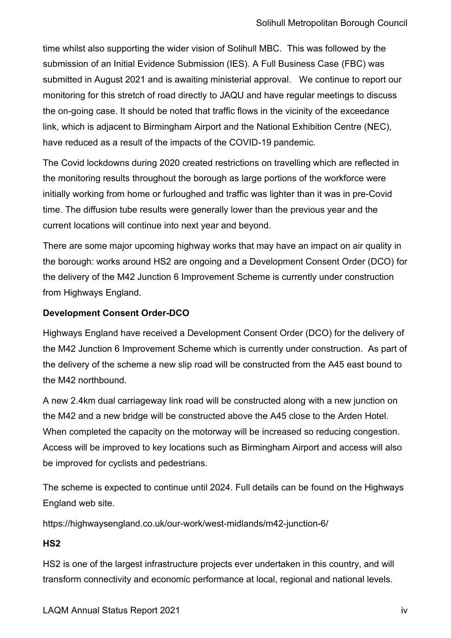time whilst also supporting the wider vision of Solihull MBC. This was followed by the submission of an Initial Evidence Submission (IES). A Full Business Case (FBC) was submitted in August 2021 and is awaiting ministerial approval. We continue to report our monitoring for this stretch of road directly to JAQU and have regular meetings to discuss the on-going case. It should be noted that traffic flows in the vicinity of the exceedance link, which is adjacent to Birmingham Airport and the National Exhibition Centre (NEC), have reduced as a result of the impacts of the COVID-19 pandemic.

The Covid lockdowns during 2020 created restrictions on travelling which are reflected in the monitoring results throughout the borough as large portions of the workforce were initially working from home or furloughed and traffic was lighter than it was in pre-Covid time. The diffusion tube results were generally lower than the previous year and the current locations will continue into next year and beyond.

There are some major upcoming highway works that may have an impact on air quality in the borough: works around HS2 are ongoing and a Development Consent Order (DCO) for the delivery of the M42 Junction 6 Improvement Scheme is currently under construction from Highways England.

### **Development Consent Order-DCO**

Highways England have received a Development Consent Order (DCO) for the delivery of the M42 Junction 6 Improvement Scheme which is currently under construction. As part of the delivery of the scheme a new slip road will be constructed from the A45 east bound to the M42 northbound.

A new 2.4km dual carriageway link road will be constructed along with a new junction on the M42 and a new bridge will be constructed above the A45 close to the Arden Hotel. When completed the capacity on the motorway will be increased so reducing congestion. Access will be improved to key locations such as Birmingham Airport and access will also be improved for cyclists and pedestrians.

The scheme is expected to continue until 2024. Full details can be found on the Highways England web site.

https://highwaysengland.co.uk/our-work/west-midlands/m42-junction-6/

### **HS2**

HS2 is one of the largest infrastructure projects ever undertaken in this country, and will transform connectivity and economic performance at local, regional and national levels.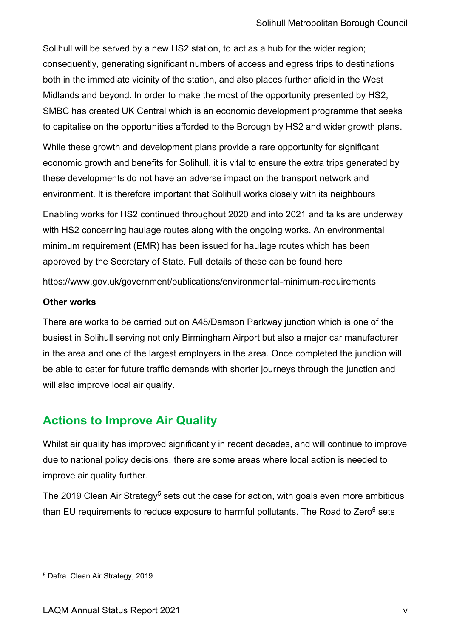Solihull will be served by a new HS2 station, to act as a hub for the wider region; consequently, generating significant numbers of access and egress trips to destinations both in the immediate vicinity of the station, and also places further afield in the West Midlands and beyond. In order to make the most of the opportunity presented by HS2, SMBC has created UK Central which is an economic development programme that seeks to capitalise on the opportunities afforded to the Borough by HS2 and wider growth plans.

While these growth and development plans provide a rare opportunity for significant economic growth and benefits for Solihull, it is vital to ensure the extra trips generated by these developments do not have an adverse impact on the transport network and environment. It is therefore important that Solihull works closely with its neighbours

Enabling works for HS2 continued throughout 2020 and into 2021 and talks are underway with HS2 concerning haulage routes along with the ongoing works. An environmental minimum requirement (EMR) has been issued for haulage routes which has been approved by the Secretary of State. Full details of these can be found here

#### <https://www.gov.uk/government/publications/environmental-minimum-requirements>

#### **Other works**

There are works to be carried out on A45/Damson Parkway junction which is one of the busiest in Solihull serving not only Birmingham Airport but also a major car manufacturer in the area and one of the largest employers in the area. Once completed the junction will be able to cater for future traffic demands with shorter journeys through the junction and will also improve local air quality.

### <span id="page-5-0"></span>**Actions to Improve Air Quality**

Whilst air quality has improved significantly in recent decades, and will continue to improve due to national policy decisions, there are some areas where local action is needed to improve air quality further.

The 2019 Clean Air Strategy<sup>5</sup> sets out the case for action, with goals even more ambitious than EU requirements to reduce exposure to harmful pollutants. The Road to Zero $6$  sets

<sup>5</sup> Defra. Clean Air Strategy, 2019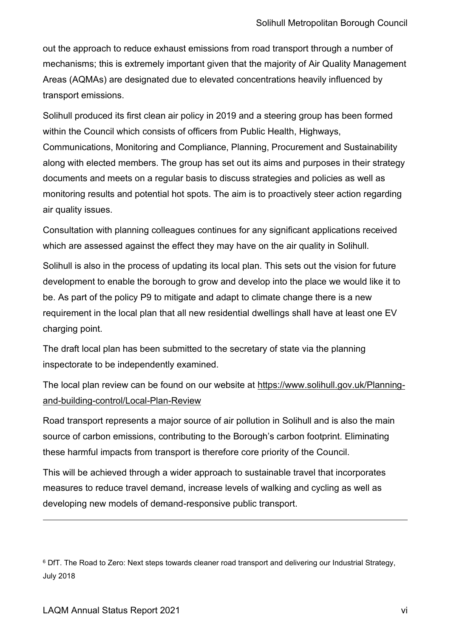out the approach to reduce exhaust emissions from road transport through a number of mechanisms; this is extremely important given that the majority of Air Quality Management Areas (AQMAs) are designated due to elevated concentrations heavily influenced by transport emissions.

Solihull produced its first clean air policy in 2019 and a steering group has been formed within the Council which consists of officers from Public Health, Highways, Communications, Monitoring and Compliance, Planning, Procurement and Sustainability along with elected members. The group has set out its aims and purposes in their strategy documents and meets on a regular basis to discuss strategies and policies as well as monitoring results and potential hot spots. The aim is to proactively steer action regarding air quality issues.

Consultation with planning colleagues continues for any significant applications received which are assessed against the effect they may have on the air quality in Solihull.

Solihull is also in the process of updating its local plan. This sets out the vision for future development to enable the borough to grow and develop into the place we would like it to be. As part of the policy P9 to mitigate and adapt to climate change there is a new requirement in the local plan that all new residential dwellings shall have at least one EV charging point.

The draft local plan has been submitted to the secretary of state via the planning inspectorate to be independently examined.

The local plan review can be found on our website at [https://www.solihull.gov.uk/Planning](https://www.solihull.gov.uk/Planning-and-building-control/Local-Plan-Review)[and-building-control/Local-Plan-Review](https://www.solihull.gov.uk/Planning-and-building-control/Local-Plan-Review)

Road transport represents a major source of air pollution in Solihull and is also the main source of carbon emissions, contributing to the Borough's carbon footprint. Eliminating these harmful impacts from transport is therefore core priority of the Council.

This will be achieved through a wider approach to sustainable travel that incorporates measures to reduce travel demand, increase levels of walking and cycling as well as developing new models of demand-responsive public transport.

<sup>6</sup> DfT. The Road to Zero: Next steps towards cleaner road transport and delivering our Industrial Strategy, July 2018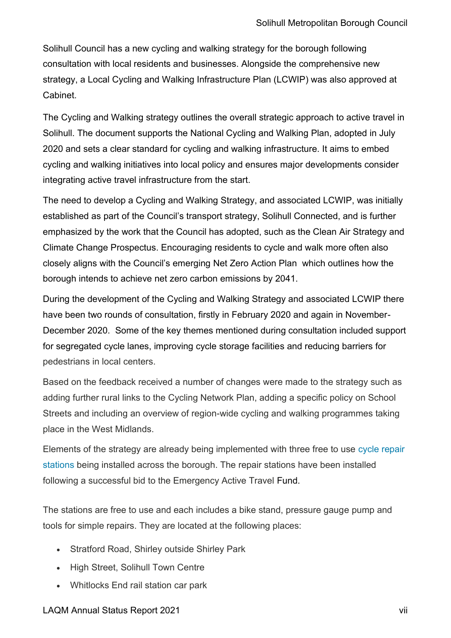Solihull Council has a new cycling and walking strategy for the borough following consultation with local residents and businesses. Alongside the comprehensive new strategy, a Local Cycling and Walking Infrastructure Plan (LCWIP) was also approved at Cabinet.

The Cycling and Walking strategy outlines the overall strategic approach to active travel in Solihull. The document supports the National Cycling and Walking Plan, adopted in July 2020 and sets a clear standard for cycling and walking infrastructure. It aims to embed cycling and walking initiatives into local policy and ensures major developments consider integrating active travel infrastructure from the start.

The need to develop a Cycling and Walking Strategy, and associated LCWIP, was initially established as part of the Council's transport strategy, Solihull Connected, and is further emphasized by the work that the Council has adopted, such as the Clean Air Strategy and Climate Change Prospectus. Encouraging residents to cycle and walk more often also closely aligns with the Council's emerging [Net Zero Action Plan](https://netzerosolihull.co.uk/) which outlines how the borough intends to achieve net zero carbon emissions by 2041.

During the development of the Cycling and Walking Strategy and associated LCWIP there have been two rounds of consultation, firstly in February 2020 and again in November-December 2020. Some of the key themes mentioned during consultation included support for segregated cycle lanes, improving cycle storage facilities and reducing barriers for pedestrians in local centers.

Based on the feedback received a number of changes were made to the strategy such as adding further rural links to the Cycling Network Plan, adding a specific policy on School Streets and including an overview of region-wide cycling and walking programmes taking place in the West Midlands.

Elements of the strategy are already being implemented with three free to use [cycle repair](https://www.solihull.gov.uk/news/free-use-bicycle-repair-stations-keep-cyclists-moving)  [stations](https://www.solihull.gov.uk/news/free-use-bicycle-repair-stations-keep-cyclists-moving) being installed across the borough. The repair stations have been installed following a successful bid to the Emergency Active Travel Fund.

The stations are free to use and each includes a bike stand, pressure gauge pump and tools for simple repairs. They are located at the following places:

- Stratford Road, Shirley outside Shirley Park
- High Street, Solihull Town Centre
- Whitlocks End rail station car park

### LAQM Annual Status Report 2021 vii in the status of the status of the status of the status of the status of the status of the status of the status of the status of the status of the status of the status of the status of th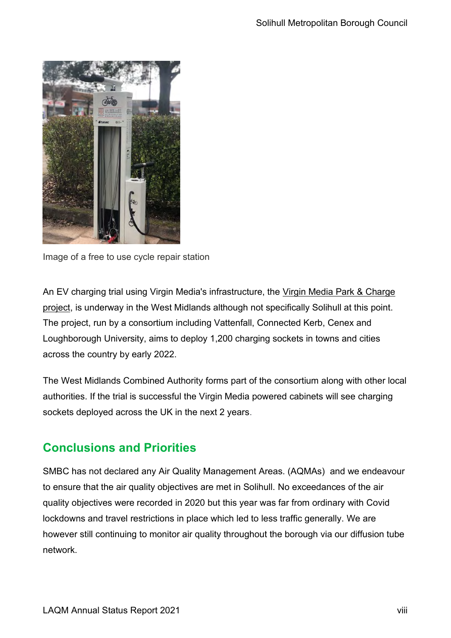

Image of a free to use cycle repair station

An EV charging trial using Virgin Media's infrastructure, the [Virgin Media Park & Charge](https://www.current-news.co.uk/news/connected-kerb-vattenfall-unveiled-as-partners-in-project-to-revolutionise-on-street-charging)  [project,](https://www.current-news.co.uk/news/connected-kerb-vattenfall-unveiled-as-partners-in-project-to-revolutionise-on-street-charging) is underway in the West Midlands although not specifically Solihull at this point. The project, run by a consortium including Vattenfall, Connected Kerb, Cenex and Loughborough University, aims to deploy 1,200 charging sockets in towns and cities across the country by early 2022.

The West Midlands Combined Authority forms part of the consortium along with other local authorities. If the trial is successful the Virgin Media powered cabinets will see charging sockets deployed across the UK in the next 2 years.

### <span id="page-8-0"></span>**Conclusions and Priorities**

SMBC has not declared any Air Quality Management Areas. (AQMAs) and we endeavour to ensure that the air quality objectives are met in Solihull. No exceedances of the air quality objectives were recorded in 2020 but this year was far from ordinary with Covid lockdowns and travel restrictions in place which led to less traffic generally. We are however still continuing to monitor air quality throughout the borough via our diffusion tube network.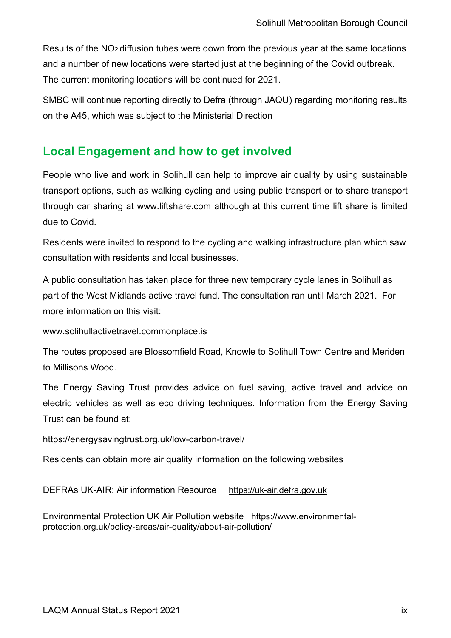Results of the NO2 diffusion tubes were down from the previous year at the same locations and a number of new locations were started just at the beginning of the Covid outbreak. The current monitoring locations will be continued for 2021.

SMBC will continue reporting directly to Defra (through JAQU) regarding monitoring results on the A45, which was subject to the Ministerial Direction

### <span id="page-9-0"></span>**Local Engagement and how to get involved**

People who live and work in Solihull can help to improve air quality by using sustainable transport options, such as walking cycling and using public transport or to share transport through car sharing at www.liftshare.com although at this current time lift share is limited due to Covid.

Residents were invited to respond to the cycling and walking infrastructure plan which saw consultation with residents and local businesses.

A public consultation has taken place for three new temporary cycle lanes in Solihull as part of the West Midlands active travel fund. The consultation ran until March 2021. For more information on this visit:

www[.solihullactivetravel.commonplace.is](https://solihullactivetravel.commonplace.is/)

The routes proposed are Blossomfield Road, Knowle to Solihull Town Centre and Meriden to Millisons Wood.

The Energy Saving Trust provides advice on fuel saving, active travel and advice on electric vehicles as well as eco driving techniques. Information from the Energy Saving Trust can be found at:

### <https://energysavingtrust.org.uk/low-carbon-travel/>

Residents can obtain more air quality information on the following websites

DEFRAs UK-AIR: Air information Resource [https://uk-air.defra.gov.uk](https://uk-air.defra.gov.uk/)

Environmental Protection UK Air Pollution website [https://www.environmental](https://www.environmental-protection.org.uk/policy-areas/air-quality/about-air-pollution/)[protection.org.uk/policy-areas/air-quality/about-air-pollution/](https://www.environmental-protection.org.uk/policy-areas/air-quality/about-air-pollution/)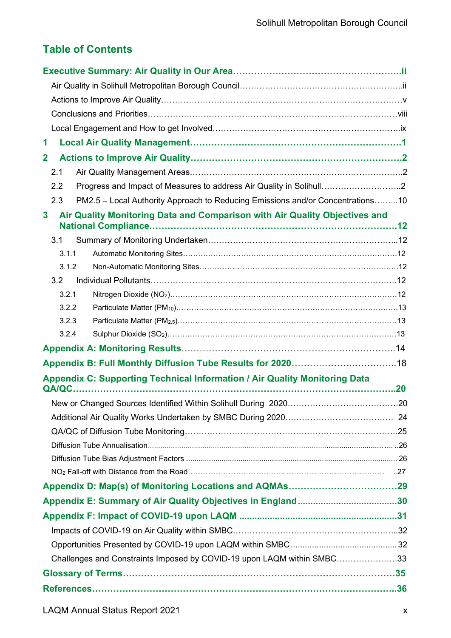### **Table of Contents**

| 1<br>$\mathbf{2}$<br>2.1<br>Progress and Impact of Measures to address Air Quality in Solihull2<br>2.2<br>PM2.5 - Local Authority Approach to Reducing Emissions and/or Concentrations10<br>2.3<br>Air Quality Monitoring Data and Comparison with Air Quality Objectives and<br>3<br>3.1<br>3.1.1<br>3.1.2<br>3.2<br>3.2.1<br>3.2.2<br>3.2.3<br>3.2.4<br>Appendix C: Supporting Technical Information / Air Quality Monitoring Data<br>Challenges and Constraints Imposed by COVID-19 upon LAQM within SMBC33 |  |
|----------------------------------------------------------------------------------------------------------------------------------------------------------------------------------------------------------------------------------------------------------------------------------------------------------------------------------------------------------------------------------------------------------------------------------------------------------------------------------------------------------------|--|
|                                                                                                                                                                                                                                                                                                                                                                                                                                                                                                                |  |
|                                                                                                                                                                                                                                                                                                                                                                                                                                                                                                                |  |
|                                                                                                                                                                                                                                                                                                                                                                                                                                                                                                                |  |
|                                                                                                                                                                                                                                                                                                                                                                                                                                                                                                                |  |
|                                                                                                                                                                                                                                                                                                                                                                                                                                                                                                                |  |
|                                                                                                                                                                                                                                                                                                                                                                                                                                                                                                                |  |
|                                                                                                                                                                                                                                                                                                                                                                                                                                                                                                                |  |
|                                                                                                                                                                                                                                                                                                                                                                                                                                                                                                                |  |
|                                                                                                                                                                                                                                                                                                                                                                                                                                                                                                                |  |
|                                                                                                                                                                                                                                                                                                                                                                                                                                                                                                                |  |
|                                                                                                                                                                                                                                                                                                                                                                                                                                                                                                                |  |
|                                                                                                                                                                                                                                                                                                                                                                                                                                                                                                                |  |
|                                                                                                                                                                                                                                                                                                                                                                                                                                                                                                                |  |
|                                                                                                                                                                                                                                                                                                                                                                                                                                                                                                                |  |
|                                                                                                                                                                                                                                                                                                                                                                                                                                                                                                                |  |
|                                                                                                                                                                                                                                                                                                                                                                                                                                                                                                                |  |
|                                                                                                                                                                                                                                                                                                                                                                                                                                                                                                                |  |
|                                                                                                                                                                                                                                                                                                                                                                                                                                                                                                                |  |
|                                                                                                                                                                                                                                                                                                                                                                                                                                                                                                                |  |
|                                                                                                                                                                                                                                                                                                                                                                                                                                                                                                                |  |
|                                                                                                                                                                                                                                                                                                                                                                                                                                                                                                                |  |
|                                                                                                                                                                                                                                                                                                                                                                                                                                                                                                                |  |
|                                                                                                                                                                                                                                                                                                                                                                                                                                                                                                                |  |
|                                                                                                                                                                                                                                                                                                                                                                                                                                                                                                                |  |
|                                                                                                                                                                                                                                                                                                                                                                                                                                                                                                                |  |
|                                                                                                                                                                                                                                                                                                                                                                                                                                                                                                                |  |
|                                                                                                                                                                                                                                                                                                                                                                                                                                                                                                                |  |
|                                                                                                                                                                                                                                                                                                                                                                                                                                                                                                                |  |
|                                                                                                                                                                                                                                                                                                                                                                                                                                                                                                                |  |
|                                                                                                                                                                                                                                                                                                                                                                                                                                                                                                                |  |
|                                                                                                                                                                                                                                                                                                                                                                                                                                                                                                                |  |
|                                                                                                                                                                                                                                                                                                                                                                                                                                                                                                                |  |
|                                                                                                                                                                                                                                                                                                                                                                                                                                                                                                                |  |
|                                                                                                                                                                                                                                                                                                                                                                                                                                                                                                                |  |
|                                                                                                                                                                                                                                                                                                                                                                                                                                                                                                                |  |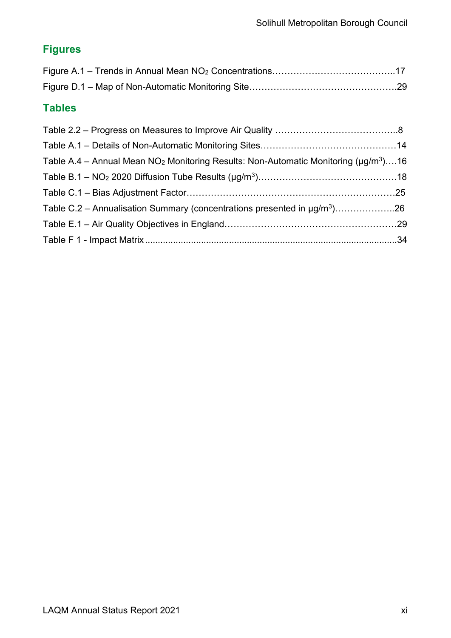### **Figures**

### **Tables**

| Table A.4 – Annual Mean NO <sub>2</sub> Monitoring Results: Non-Automatic Monitoring ( $\mu$ g/m <sup>3</sup> )16 |  |
|-------------------------------------------------------------------------------------------------------------------|--|
|                                                                                                                   |  |
|                                                                                                                   |  |
| Table C.2 – Annualisation Summary (concentrations presented in $\mu g/m^3$ )26                                    |  |
|                                                                                                                   |  |
|                                                                                                                   |  |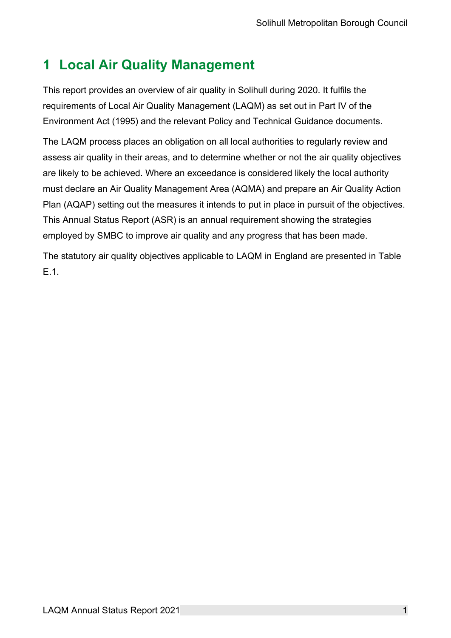### <span id="page-12-0"></span>**1 Local Air Quality Management**

This report provides an overview of air quality in Solihull during 2020. It fulfils the requirements of Local Air Quality Management (LAQM) as set out in Part IV of the Environment Act (1995) and the relevant Policy and Technical Guidance documents.

The LAQM process places an obligation on all local authorities to regularly review and assess air quality in their areas, and to determine whether or not the air quality objectives are likely to be achieved. Where an exceedance is considered likely the local authority must declare an Air Quality Management Area (AQMA) and prepare an Air Quality Action Plan (AQAP) setting out the measures it intends to put in place in pursuit of the objectives. This Annual Status Report (ASR) is an annual requirement showing the strategies employed by SMBC to improve air quality and any progress that has been made.

The statutory air quality objectives applicable to LAQM in England are presented in [Table](#page-41-1)  [E.1.](#page-41-1)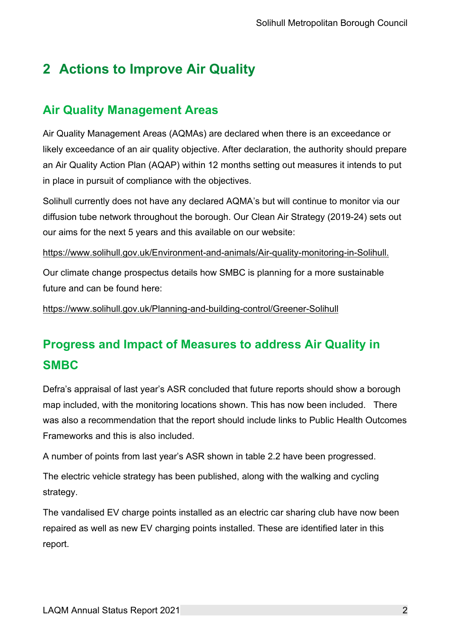### <span id="page-13-0"></span>**2 Actions to Improve Air Quality**

### **Air Quality Management Areas**

Air Quality Management Areas (AQMAs) are declared when there is an exceedance or likely exceedance of an air quality objective. After declaration, the authority should prepare an Air Quality Action Plan (AQAP) within 12 months setting out measures it intends to put in place in pursuit of compliance with the objectives.

Solihull currently does not have any declared AQMA's but will continue to monitor via our diffusion tube network throughout the borough. Our Clean Air Strategy (2019-24) sets out our aims for the next 5 years and this available on our website:

[https://www.solihull.gov.uk/Environment-and-animals/Air-quality-monitoring-in-Solihull.](https://www.solihull.gov.uk/Environment-and-animals/Air-quality-monitoring-in-Solihull)

Our climate change prospectus details how SMBC is planning for a more sustainable future and can be found here:

<https://www.solihull.gov.uk/Planning-and-building-control/Greener-Solihull>

### **Progress and Impact of Measures to address Air Quality in SMBC**

Defra's appraisal of last year's ASR concluded that future reports should show a borough map included, with the monitoring locations shown. This has now been included. There was also a recommendation that the report should include links to Public Health Outcomes Frameworks and this is also included.

A number of points from last year's ASR shown in table 2.2 have been progressed.

The electric vehicle strategy has been published, along with the walking and cycling strategy.

The vandalised EV charge points installed as an electric car sharing club have now been repaired as well as new EV charging points installed. These are identified later in this report.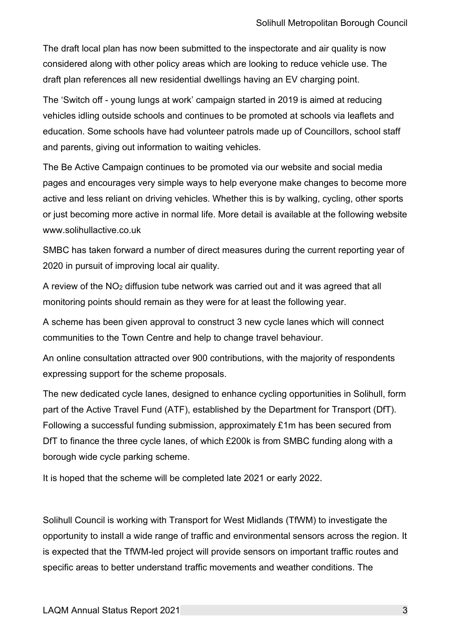The draft local plan has now been submitted to the inspectorate and air quality is now considered along with other policy areas which are looking to reduce vehicle use. The draft plan references all new residential dwellings having an EV charging point.

The 'Switch off - young lungs at work' campaign started in 2019 is aimed at reducing vehicles idling outside schools and continues to be promoted at schools via leaflets and education. Some schools have had volunteer patrols made up of Councillors, school staff and parents, giving out information to waiting vehicles.

The Be Active Campaign continues to be promoted via our website and social media pages and encourages very simple ways to help everyone make changes to become more active and less reliant on driving vehicles. Whether this is by walking, cycling, other sports or just becoming more active in normal life. More detail is available at the following website www.solihullactive.co.uk

SMBC has taken forward a number of direct measures during the current reporting year of 2020 in pursuit of improving local air quality.

A review of the NO<sup>2</sup> diffusion tube network was carried out and it was agreed that all monitoring points should remain as they were for at least the following year.

A scheme has been given approval to construct 3 new cycle lanes which will connect communities to the Town Centre and help to change travel behaviour.

An online consultation attracted over 900 contributions, with the majority of respondents expressing support for the scheme proposals.

The new dedicated cycle lanes, designed to enhance cycling opportunities in Solihull, form part of the Active Travel Fund (ATF), established by the Department for Transport (DfT). Following a successful funding submission, approximately £1m has been secured from DfT to finance the three cycle lanes, of which £200k is from SMBC funding along with a borough wide cycle parking scheme.

It is hoped that the scheme will be completed late 2021 or early 2022.

Solihull Council is working with Transport for West Midlands (TfWM) to investigate the opportunity to install a wide range of traffic and environmental sensors across the region. It is expected that the TfWM-led project will provide sensors on important traffic routes and specific areas to better understand traffic movements and weather conditions. The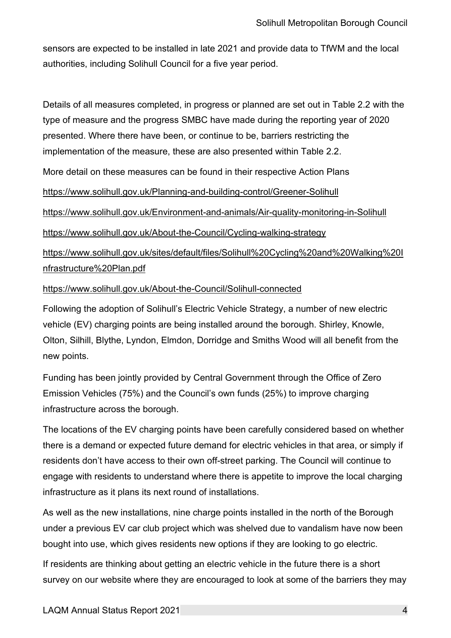sensors are expected to be installed in late 2021 and provide data to TfWM and the local authorities, including Solihull Council for a five year period.

Details of all measures completed, in progress or planned are set out in Table 2.2 with the type of measure and the progress SMBC have made during the reporting year of 2020 presented. Where there have been, or continue to be, barriers restricting the implementation of the measure, these are also presented within Table 2.2.

More detail on these measures can be found in their respective Action Plans

<https://www.solihull.gov.uk/Planning-and-building-control/Greener-Solihull>

<https://www.solihull.gov.uk/Environment-and-animals/Air-quality-monitoring-in-Solihull>

<https://www.solihull.gov.uk/About-the-Council/Cycling-walking-strategy>

[https://www.solihull.gov.uk/sites/default/files/Solihull%20Cycling%20and%20Walking%20I](https://www.solihull.gov.uk/sites/default/files/Solihull%20Cycling%20and%20Walking%20Infrastructure%20Plan.pdf) [nfrastructure%20Plan.pdf](https://www.solihull.gov.uk/sites/default/files/Solihull%20Cycling%20and%20Walking%20Infrastructure%20Plan.pdf)

#### <https://www.solihull.gov.uk/About-the-Council/Solihull-connected>

Following the adoption of Solihull's Electric Vehicle Strategy, a number of new electric vehicle (EV) charging points are being installed around the borough. Shirley, Knowle, Olton, Silhill, Blythe, Lyndon, Elmdon, Dorridge and Smiths Wood will all benefit from the new points.

Funding has been jointly provided by Central Government through the Office of Zero Emission Vehicles (75%) and the Council's own funds (25%) to improve charging infrastructure across the borough.

The locations of the EV charging points have been carefully considered based on whether there is a demand or expected future demand for electric vehicles in that area, or simply if residents don't have access to their own off-street parking. The Council will continue to engage with residents to understand where there is appetite to improve the local charging infrastructure as it plans its next round of installations.

As well as the new installations, nine charge points installed in the north of the Borough under a previous EV car club project which was shelved due to vandalism have now been bought into use, which gives residents new options if they are looking to go electric.

If residents are thinking about getting an electric vehicle in the future there is a short survey on our website where they are encouraged to look at some of the barriers they may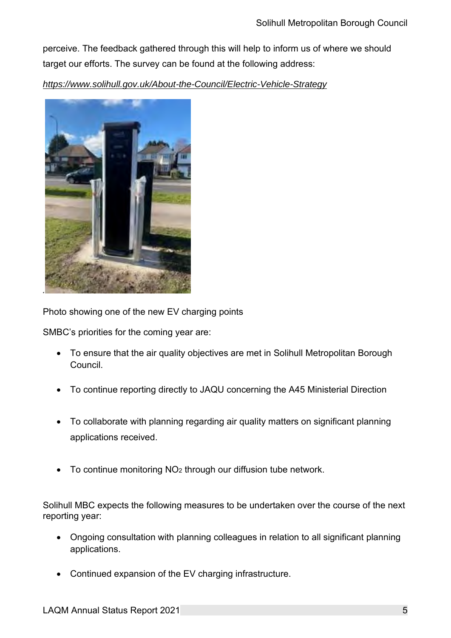perceive. The feedback gathered through this will help to inform us of where we should target our efforts. The survey can be found at the following address:

*<https://www.solihull.gov.uk/About-the-Council/Electric-Vehicle-Strategy>*



Photo showing one of the new EV charging points

SMBC's priorities for the coming year are:

- To ensure that the air quality objectives are met in Solihull Metropolitan Borough Council.
- To continue reporting directly to JAQU concerning the A45 Ministerial Direction
- To collaborate with planning regarding air quality matters on significant planning applications received.
- To continue monitoring NO<sub>2</sub> through our diffusion tube network.

Solihull MBC expects the following measures to be undertaken over the course of the next reporting year:

- Ongoing consultation with planning colleagues in relation to all significant planning applications.
- Continued expansion of the EV charging infrastructure.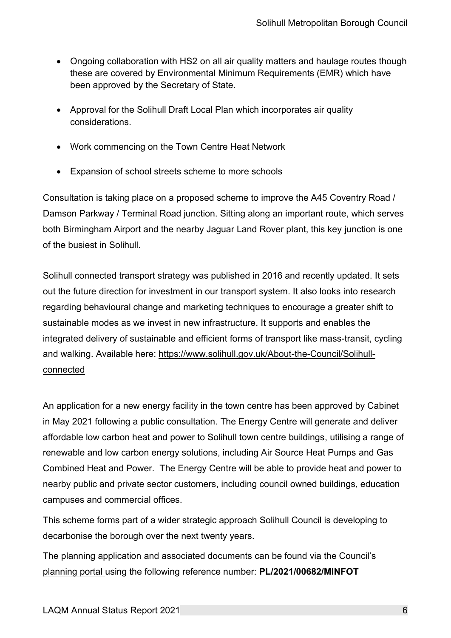- Ongoing collaboration with HS2 on all air quality matters and haulage routes though these are covered by Environmental Minimum Requirements (EMR) which have been approved by the Secretary of State.
- Approval for the Solihull Draft Local Plan which incorporates air quality considerations.
- Work commencing on the Town Centre Heat Network
- Expansion of school streets scheme to more schools

Consultation is taking place on a proposed scheme to improve the A45 Coventry Road / Damson Parkway / Terminal Road junction. Sitting along an important route, which serves both Birmingham Airport and the nearby Jaguar Land Rover plant, this key junction is one of the busiest in Solihull.

Solihull connected transport strategy was published in 2016 and recently updated. It sets out the future direction for investment in our transport system. It also looks into research regarding behavioural change and marketing techniques to encourage a greater shift to sustainable modes as we invest in new infrastructure. It supports and enables the integrated delivery of sustainable and efficient forms of transport like mass-transit, cycling and walking. Available here: [https://www.solihull.gov.uk/About-the-Council/Solihull](https://www.solihull.gov.uk/About-the-Council/Solihull-connected)[connected](https://www.solihull.gov.uk/About-the-Council/Solihull-connected)

An application for a new energy facility in the town centre has been approved by Cabinet in May 2021 following a public consultation. The Energy Centre will generate and deliver affordable low carbon heat and power to Solihull town centre buildings, utilising a range of renewable and low carbon energy solutions, including Air Source Heat Pumps and Gas Combined Heat and Power. The Energy Centre will be able to provide heat and power to nearby public and private sector customers, including council owned buildings, education campuses and commercial offices.

This scheme forms part of a wider strategic approach Solihull Council is developing to decarbonise the borough over the next twenty years.

The planning application and associated documents can be found via the Council's [planning portal u](https://publicaccess.solihull.gov.uk/online-applications/)sing the following reference number: **PL/2021/00682/MINFOT**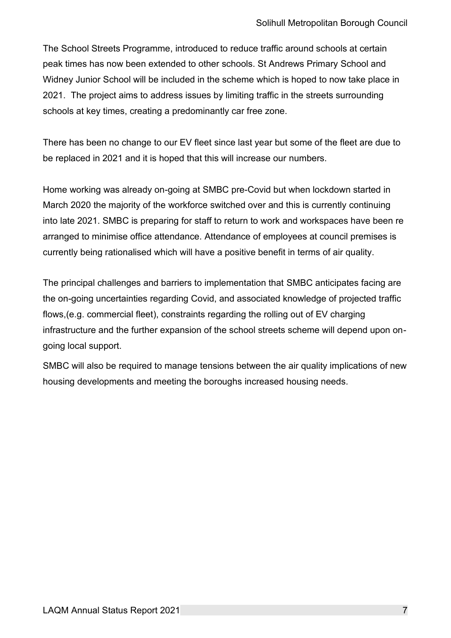The School Streets Programme, introduced to reduce traffic around schools at certain peak times has now been extended to other schools. St Andrews Primary School and Widney Junior School will be included in the scheme which is hoped to now take place in 2021. The project aims to address issues by limiting traffic in the streets surrounding schools at key times, creating a predominantly car free zone.

There has been no change to our EV fleet since last year but some of the fleet are due to be replaced in 2021 and it is hoped that this will increase our numbers.

Home working was already on-going at SMBC pre-Covid but when lockdown started in March 2020 the majority of the workforce switched over and this is currently continuing into late 2021. SMBC is preparing for staff to return to work and workspaces have been re arranged to minimise office attendance. Attendance of employees at council premises is currently being rationalised which will have a positive benefit in terms of air quality.

The principal challenges and barriers to implementation that SMBC anticipates facing are the on-going uncertainties regarding Covid, and associated knowledge of projected traffic flows,(e.g. commercial fleet), constraints regarding the rolling out of EV charging infrastructure and the further expansion of the school streets scheme will depend upon ongoing local support.

SMBC will also be required to manage tensions between the air quality implications of new housing developments and meeting the boroughs increased housing needs.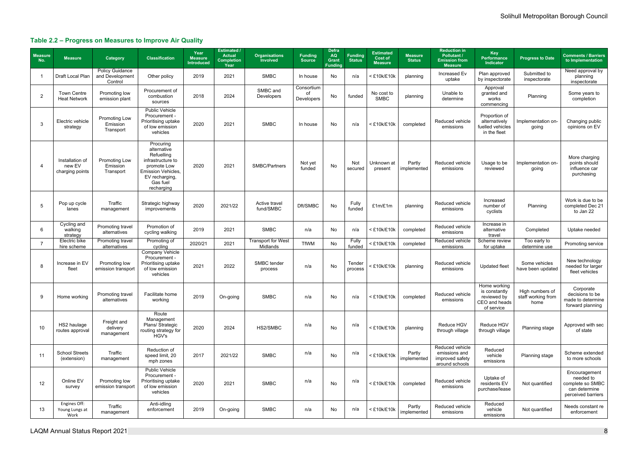### Solihull Metropolitan Borough Council

### **Table 2.2 – Progress on Measures to Improve Air Quality**

| <b>Measure</b><br>No. | <b>Measure</b>                               | Category                                             | <b>Classification</b>                                                                                                                        | Year<br><b>Measure</b><br><b>Introduced</b> | <b>Estimated /</b><br><b>Actual</b><br><b>Completion</b><br>Year | <b>Organisations</b><br><b>Involved</b> | <b>Funding</b><br><b>Source</b> | <b>Defra</b><br><b>AQ</b><br>Grant<br><b>Funding</b> | <b>Funding</b><br><b>Status</b> | <b>Estimated</b><br><b>Cost of</b><br><b>Measure</b> | <b>Measure</b><br><b>Status</b> | <b>Reduction in</b><br><b>Pollutant /</b><br><b>Emission from</b><br><b>Measure</b> | Key<br>Performance<br>Indicator                                             | <b>Progress to Date</b>                       | <b>Comments / Barriers</b><br>to Implementation                                       |
|-----------------------|----------------------------------------------|------------------------------------------------------|----------------------------------------------------------------------------------------------------------------------------------------------|---------------------------------------------|------------------------------------------------------------------|-----------------------------------------|---------------------------------|------------------------------------------------------|---------------------------------|------------------------------------------------------|---------------------------------|-------------------------------------------------------------------------------------|-----------------------------------------------------------------------------|-----------------------------------------------|---------------------------------------------------------------------------------------|
|                       | Draft Local Plan                             | <b>Policy Guidance</b><br>and Development<br>Control | Other policy                                                                                                                                 | 2019                                        | 2021                                                             | <b>SMBC</b>                             | In house                        | <b>No</b>                                            | n/a                             | < £10k/£10k                                          | planning                        | Increased Ev<br>uptake                                                              | Plan approved<br>by inspectorate                                            | Submitted to<br>inspectorate                  | Need approval by<br>planning<br>inspectorate                                          |
| $\overline{2}$        | <b>Town Centre</b><br><b>Heat Network</b>    | Promoting low<br>emission plant                      | Procurement of<br>combustion<br>sources                                                                                                      | 2018                                        | 2024                                                             | SMBC and<br>Developers                  | Consortium<br>of<br>Developers  | No                                                   | funded                          | No cost to<br><b>SMBC</b>                            | planning                        | Unable to<br>determine                                                              | Approval<br>granted and<br>works<br>commencing                              | Planning                                      | Some years to<br>completion                                                           |
| 3                     | Electric vehicle<br>strategy                 | Promoting Low<br>Emission<br>Transport               | <b>Public Vehicle</b><br>Procurement -<br>Prioritising uptake<br>of low emission<br>vehicles                                                 | 2020                                        | 2021                                                             | <b>SMBC</b>                             | In house                        | <b>No</b>                                            | n/a                             | <£10k/£10k                                           | completed                       | Reduced vehicle<br>emissions                                                        | Proportion of<br>alternatively<br>fuelled vehicles<br>in the fleet          | Implementation on-<br>going                   | Changing public<br>opinions on EV                                                     |
| -4                    | Installation of<br>new EV<br>charging points | Promoting Low<br>Emission<br>Transport               | Procuring<br>alternative<br>Refuelling<br>infrastructure to<br>promote Low<br>Emission Vehicles,<br>EV recharging,<br>Gas fuel<br>recharging | 2020                                        | 2021                                                             | SMBC/Partners                           | Not yet<br>funded               | No                                                   | Not<br>secured                  | Unknown at<br>present                                | Partly<br>implemented           | Reduced vehicle<br>emissions                                                        | Usage to be<br>reviewed                                                     | Implementation on-<br>going                   | More charging<br>points should<br>influence car<br>purchasing                         |
| 5                     | Pop up cycle<br>lanes                        | Traffic<br>management                                | Strategic highway<br>improvements                                                                                                            | 2020                                        | 2021/22                                                          | Active travel<br>fund/SMBC              | Dft/SMBC                        | No                                                   | Fully<br>funded                 | £1m/£1m                                              | planning                        | Reduced vehicle<br>emissions                                                        | Increased<br>number of<br>cyclists                                          | Planning                                      | Work is due to be<br>completed Dec 21<br>to Jan 22                                    |
| 6                     | Cycling and<br>walking<br>strategy           | Promoting travel<br>alternatives                     | Promotion of<br>cycling walking                                                                                                              | 2019                                        | 2021                                                             | <b>SMBC</b>                             | n/a                             | No                                                   | n/a                             | <£10k/£10k                                           | completed                       | Reduced vehicle<br>emissions                                                        | Increase in<br>alternative<br>travel                                        | Completed                                     | Uptake needed                                                                         |
| -7                    | Electric bike<br>hire scheme                 | Promoting travel<br>alternatives                     | Promoting of<br>cycling                                                                                                                      | 2020/21                                     | 2021                                                             | <b>Transport for West</b><br>Midlands   | <b>TfWM</b>                     | <b>No</b>                                            | Fully<br>funded                 | < £10k/£10k                                          | completed                       | Reduced vehicle<br>emissions                                                        | Scheme review<br>for uptake                                                 | Too early to<br>determine use                 | Promoting service                                                                     |
| 8                     | Increase in EV<br>fleet                      | Promoting low<br>emission transport                  | <b>Company Vehicle</b><br>Procurement -<br>Prioritising uptake<br>of low emission<br>vehicles                                                | 2021                                        | 2022                                                             | SMBC tender<br>process                  | n/a                             | No                                                   | Tender<br>process               | $<$ £10k/£10k                                        | planning                        | Reduced vehicle<br>emissions                                                        | <b>Updated fleet</b>                                                        | Some vehicles<br>have been updated            | New technology<br>needed for larger<br>fleet vehicles                                 |
| 9                     | Home working                                 | Promoting travel<br>alternatives                     | Facilitate home<br>working                                                                                                                   | 2019                                        | On-going                                                         | <b>SMBC</b>                             | n/a                             | No                                                   | n/a                             | $<$ £10k/£10k                                        | completed                       | Reduced vehicle<br>emissions                                                        | Home working<br>is constantly<br>reviewed by<br>CEO and heads<br>of service | High numbers of<br>staff working from<br>home | Corporate<br>decisions to be<br>made to determine<br>forward planning                 |
| 10                    | HS2 haulage<br>routes approval               | Freight and<br>delivery<br>management                | Route<br>Management<br>Plans/ Strategic<br>routing strategy for<br>HGV's                                                                     | 2020                                        | 2024                                                             | HS2/SMBC                                | n/a                             | No                                                   | n/a                             | $<$ £10k/£10k                                        | planning                        | Reduce HGV<br>through village                                                       | Reduce HGV<br>through village                                               | Planning stage                                | Approved with sec<br>of state                                                         |
| 11                    | <b>School Streets</b><br>(extension)         | Traffic<br>management                                | Reduction of<br>speed limit, 20<br>mph zones                                                                                                 | 2017                                        | 2021/22                                                          | <b>SMBC</b>                             | n/a                             | No                                                   | n/a                             | $<$ £10k/£10k                                        | Partly<br>implemented           | Reduced vehicle<br>emissions and<br>improved safety<br>around schools               | Reduced<br>vehicle<br>emissions                                             | Planning stage                                | Scheme extended<br>to more schools                                                    |
| 12                    | Online EV<br>survey                          | Promoting low<br>emission transport                  | Public Vehicle<br>Procurement -<br>Prioritising uptake<br>of low emission<br>vehicles                                                        | 2020                                        | 2021                                                             | <b>SMBC</b>                             | n/a                             | No                                                   | n/a                             | $<$ £10k/£10k                                        | completed                       | Reduced vehicle<br>emissions                                                        | Uptake of<br>residents EV<br>purchase/lease                                 | Not quantified                                | Encouragement<br>needed to<br>complete so SMBC<br>can determine<br>perceived barriers |
| 13                    | Engines Off:<br>Young Lungs at<br>Work       | Traffic<br>management                                | Anti-idling<br>enforcement                                                                                                                   | 2019                                        | On-going                                                         | <b>SMBC</b>                             | n/a                             | No                                                   | n/a                             | $<$ £10k/£10k                                        | Partly<br>implemented           | Reduced vehicle<br>emissions                                                        | Reduced<br>vehicle<br>emissions                                             | Not quantified                                | Needs constant re<br>enforcement                                                      |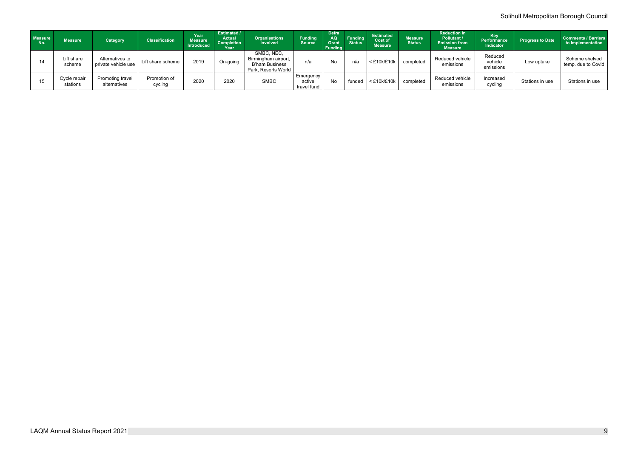### Solihull Metropolitan Borough Council

| <b>Measure</b><br>No. | <b>Measure</b>           | <b>Category</b>                        | <b>Classification</b>   | Year<br>Measure<br><b>Introduced</b> | Estimated /<br><b>Actual</b><br><b>Completion</b><br>Year | <b>Organisations</b><br><b>Involved</b>                                    | <b>Funding</b><br><b>Source</b>           | <b>Defra</b><br>AQ<br><b>Grant</b><br>Funding | <b>Funding</b><br><b>Status</b> | <b>Estimated</b><br><b>Cost of</b><br><b>Measure</b> | <b>Measure</b><br><b>Status</b> | <b>Reduction in</b><br>Pollutant /<br><b>Emission from</b><br><b>Measure</b> | <b>Key</b><br><b>Performance</b><br><b>Indicator</b> | <b>Progress to Date</b> | <b>Comments / Barriers</b><br>to Implementation |
|-----------------------|--------------------------|----------------------------------------|-------------------------|--------------------------------------|-----------------------------------------------------------|----------------------------------------------------------------------------|-------------------------------------------|-----------------------------------------------|---------------------------------|------------------------------------------------------|---------------------------------|------------------------------------------------------------------------------|------------------------------------------------------|-------------------------|-------------------------------------------------|
|                       | Lift share<br>scheme     | Alternatives to<br>private vehicle use | Lift share scheme       | 2019                                 | On-going                                                  | SMBC, NEC,<br>Birmingham airport,<br>B'ham Business<br>Park, Resorts World | n/a                                       | No                                            | n/a                             | $<$ £10k/£10k                                        | completed                       | Reduced vehicle<br>emissions                                                 | Reduced<br>vehicle<br>emissions                      | Low uptake              | Scheme shelved  <br>temp. due to Covid          |
| 15                    | Cycle repair<br>stations | Promoting travel<br>alternatives       | Promotion of<br>cycling | 2020                                 | 2020                                                      | <b>SMBC</b>                                                                | <b>Emergency</b><br>active<br>travel fund | <b>No</b>                                     | unded                           | $<$ £10k/£10k                                        | completed                       | Reduced vehicle<br>emissions                                                 | Increased<br>cycling                                 | Stations in use         | Stations in use                                 |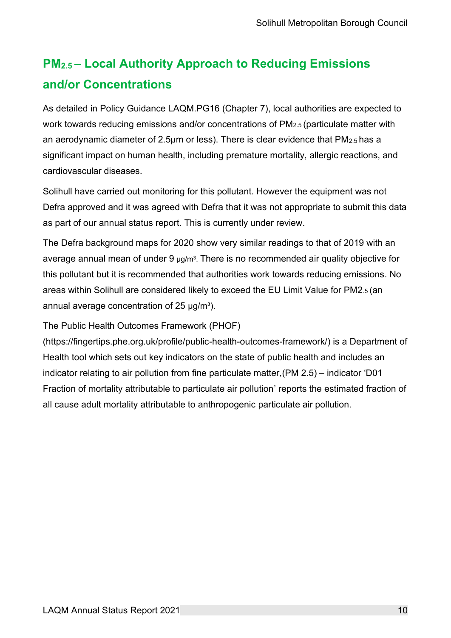### **PM2.5 – Local Authority Approach to Reducing Emissions and/or Concentrations**

As detailed in Policy Guidance LAQM.PG16 (Chapter 7), local authorities are expected to work towards reducing emissions and/or concentrations of PM<sub>2.5</sub> (particulate matter with an aerodynamic diameter of 2.5µm or less). There is clear evidence that PM2.5 has a significant impact on human health, including premature mortality, allergic reactions, and cardiovascular diseases.

Solihull have carried out monitoring for this pollutant. However the equipment was not Defra approved and it was agreed with Defra that it was not appropriate to submit this data as part of our annual status report. This is currently under review.

The Defra background maps for 2020 show very similar readings to that of 2019 with an average annual mean of under 9 μg/m $^3$ . There is no recommended air quality objective for this pollutant but it is recommended that authorities work towards reducing emissions. No areas within Solihull are considered likely to exceed the EU Limit Value for PM2.5 (an annual average concentration of  $25 \mu g/m^3$ ).

The Public Health Outcomes Framework (PHOF)

[\(https://fingertips.phe.org.uk/profile/public-health-outcomes-framework/\)](https://fingertips.phe.org.uk/profile/public-health-outcomes-framework/) is a Department of Health tool which sets out key indicators on the state of public health and includes an indicator relating to air pollution from fine particulate matter,(PM 2.5) – indicator 'D01 Fraction of mortality attributable to particulate air pollution' reports the estimated fraction of all cause adult mortality attributable to anthropogenic particulate air pollution.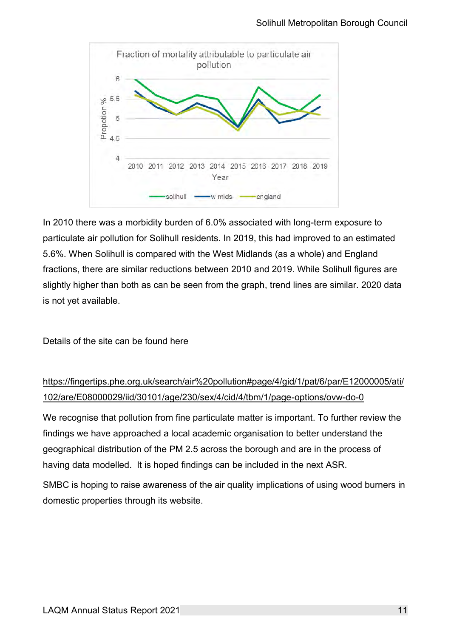

In 2010 there was a morbidity burden of 6.0% associated with long-term exposure to particulate air pollution for Solihull residents. In 2019, this had improved to an estimated 5.6%. When Solihull is compared with the West Midlands (as a whole) and England fractions, there are similar reductions between 2010 and 2019. While Solihull figures are slightly higher than both as can be seen from the graph, trend lines are similar. 2020 data is not yet available.

Details of the site can be found here

### [https://fingertips.phe.org.uk/search/air%20pollution#page/4/gid/1/pat/6/par/E12000005/ati/](https://fingertips.phe.org.uk/search/air%20pollution#page/4/gid/1/pat/6/par/E12000005/ati/102/are/E08000029/iid/30101/age/230/sex/4/cid/4/tbm/1/page-options/ovw-do-0) [102/are/E08000029/iid/30101/age/230/sex/4/cid/4/tbm/1/page-options/ovw-do-0](https://fingertips.phe.org.uk/search/air%20pollution#page/4/gid/1/pat/6/par/E12000005/ati/102/are/E08000029/iid/30101/age/230/sex/4/cid/4/tbm/1/page-options/ovw-do-0)

We recognise that pollution from fine particulate matter is important. To further review the findings we have approached a local academic organisation to better understand the geographical distribution of the PM 2.5 across the borough and are in the process of having data modelled. It is hoped findings can be included in the next ASR.

SMBC is hoping to raise awareness of the air quality implications of using wood burners in domestic properties through its website.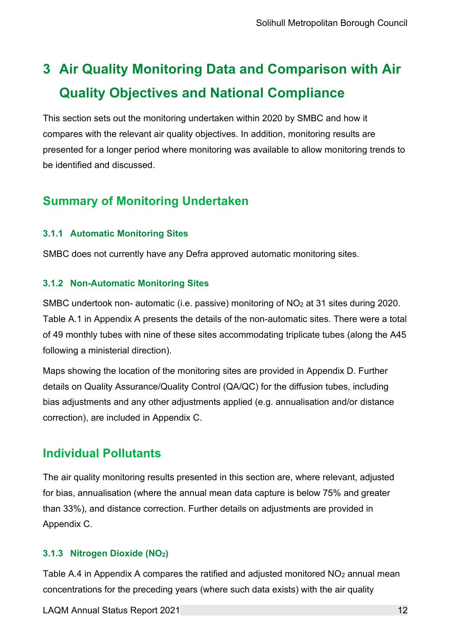### <span id="page-23-0"></span>**3 Air Quality Monitoring Data and Comparison with Air Quality Objectives and National Compliance**

This section sets out the monitoring undertaken within 2020 by SMBC and how it compares with the relevant air quality objectives. In addition, monitoring results are presented for a longer period where monitoring was available to allow monitoring trends to be identified and discussed.

### <span id="page-23-1"></span>**Summary of Monitoring Undertaken**

### <span id="page-23-2"></span>**3.1.1 Automatic Monitoring Sites**

SMBC does not currently have any Defra approved automatic monitoring sites.

### <span id="page-23-3"></span>**3.1.2 Non-Automatic Monitoring Sites**

SMBC undertook non- automatic (i.e. passive) monitoring of NO<sub>2</sub> at 31 sites during 2020. Table A.1 in [Appendix A](#page-25-0) presents the details of the non-automatic sites. There were a total of 49 monthly tubes with nine of these sites accommodating triplicate tubes (along the A45 following a ministerial direction).

Maps showing the location of the monitoring sites are provided in Appendix D. Further details on Quality Assurance/Quality Control (QA/QC) for the diffusion tubes, including bias adjustments and any other adjustments applied (e.g. annualisation and/or distance correction), are included in [Appendix C.](#page-31-0)

### <span id="page-23-4"></span>**Individual Pollutants**

The air quality monitoring results presented in this section are, where relevant, adjusted for bias, annualisation (where the annual mean data capture is below 75% and greater than 33%), and distance correction. Further details on adjustments are provided in [Appendix C.](#page-31-0)

### <span id="page-23-5"></span>**3.1.3 Nitrogen Dioxide (NO2)**

Table [A](#page-25-0).4 in Appendix A compares the ratified and adjusted monitored NO<sub>2</sub> annual mean concentrations for the preceding years (where such data exists) with the air quality

LAQM Annual Status Report 2021 12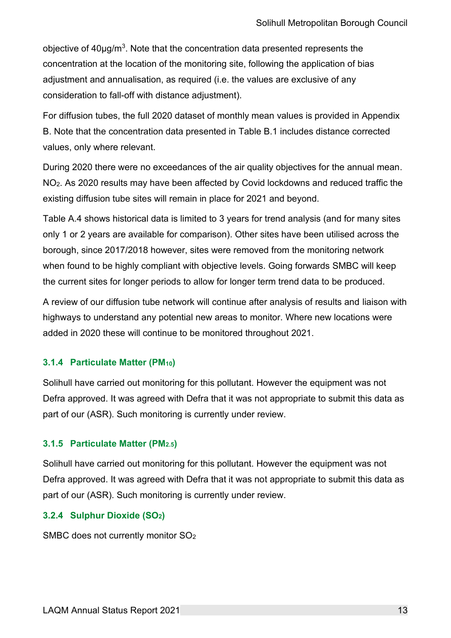objective of 40µg/m<sup>3</sup>. Note that the concentration data presented represents the concentration at the location of the monitoring site, following the application of bias adjustment and annualisation, as required (i.e. the values are exclusive of any consideration to fall-off with distance adjustment).

For diffusion tubes, the full 2020 dataset of monthly mean values is provided in [Appendix](#page-29-0)  [B.](#page-29-0) Note that the concentration data presented in [Table B.1](#page-29-1) includes distance corrected values, only where relevant.

During 2020 there were no exceedances of the air quality objectives for the annual mean. NO2. As 2020 results may have been affected by Covid lockdowns and reduced traffic the existing diffusion tube sites will remain in place for 2021 and beyond.

Table A.4 shows historical data is limited to 3 years for trend analysis (and for many sites only 1 or 2 years are available for comparison). Other sites have been utilised across the borough, since 2017/2018 however, sites were removed from the monitoring network when found to be highly compliant with objective levels. Going forwards SMBC will keep the current sites for longer periods to allow for longer term trend data to be produced.

A review of our diffusion tube network will continue after analysis of results and liaison with highways to understand any potential new areas to monitor. Where new locations were added in 2020 these will continue to be monitored throughout 2021.

#### <span id="page-24-0"></span>**3.1.4 Particulate Matter (PM10)**

Solihull have carried out monitoring for this pollutant. However the equipment was not Defra approved. It was agreed with Defra that it was not appropriate to submit this data as part of our (ASR). Such monitoring is currently under review.

#### <span id="page-24-1"></span>**3.1.5 Particulate Matter (PM2.5)**

Solihull have carried out monitoring for this pollutant. However the equipment was not Defra approved. It was agreed with Defra that it was not appropriate to submit this data as part of our (ASR). Such monitoring is currently under review.

#### **3.2.4 Sulphur Dioxide (SO2)**

SMBC does not currently monitor SO2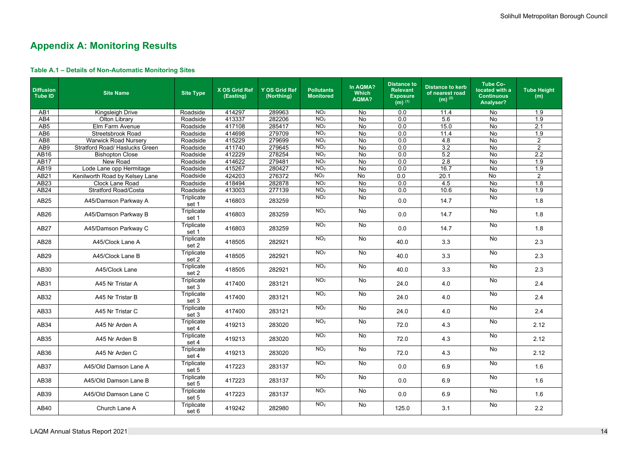### <span id="page-25-0"></span>**Appendix A: Monitoring Results**

<span id="page-25-1"></span>

|  | Table A.1 - Details of Non-Automatic Monitoring Sites |  |
|--|-------------------------------------------------------|--|
|--|-------------------------------------------------------|--|

| <b>Diffusion</b><br><b>Tube ID</b> | <b>Site Name</b>                      | <b>Site Type</b>    | X OS Grid Ref<br>(Easting) | <b>Y OS Grid Ref</b><br>(Northing) | <b>Pollutants</b><br><b>Monitored</b> | In AQMA?<br><b>Which</b><br>AQMA? | <b>Distance to</b><br><b>Relevant</b><br><b>Exposure</b><br>$(m)$ <sup>(1)</sup> | <b>Distance to kerb</b><br>of nearest road<br>$(m)$ <sup>(2)</sup> | <b>Tube Co-</b><br>located with a<br><b>Continuous</b><br>Analyser? | <b>Tube Height</b><br>(m) |
|------------------------------------|---------------------------------------|---------------------|----------------------------|------------------------------------|---------------------------------------|-----------------------------------|----------------------------------------------------------------------------------|--------------------------------------------------------------------|---------------------------------------------------------------------|---------------------------|
| AB1                                | Kingsleigh Drive                      | Roadside            | 414297                     | 289963                             | NO <sub>2</sub>                       | <b>No</b>                         | 0.0                                                                              | 11.4                                                               | No                                                                  | 1.9                       |
| AB4                                | <b>Olton Library</b>                  | Roadside            | 413337                     | 282206                             | NO <sub>2</sub>                       | No                                | 0.0                                                                              | 5.6                                                                | No                                                                  | 1.9                       |
| AB <sub>5</sub>                    | Elm Farm Avenue                       | Roadside            | 417108                     | 285417                             | NO <sub>2</sub>                       | No                                | 0.0                                                                              | 15.0                                                               | No                                                                  | $\overline{2.1}$          |
| AB <sub>6</sub>                    | <b>Streetsbrook Road</b>              | Roadside            | 414698                     | 279709                             | NO <sub>2</sub>                       | No                                | 0.0                                                                              | 11.4                                                               | No                                                                  | 1.9                       |
| AB <sub>8</sub>                    | <b>Warwick Road Nursery</b>           | Roadside            | 415229                     | 279699                             | NO <sub>2</sub>                       | No                                | 0.0                                                                              | 4.8                                                                | No                                                                  | $\sqrt{2}$                |
| AB9                                | <b>Stratford Road/ Haslucks Green</b> | Roadside            | 411740                     | 279645                             | NO <sub>2</sub>                       | No                                | 0.0                                                                              | 3.2                                                                | No                                                                  | $\overline{2}$            |
| AB16                               | <b>Bishopton Close</b>                | Roadside            | 412229                     | 278254                             | NO <sub>2</sub>                       | No                                | 0.0                                                                              | 5.2                                                                | No                                                                  | 2.2                       |
| <b>AB17</b>                        | New Road                              | Roadside            | 414622                     | 279481                             | NO <sub>2</sub>                       | No                                | 0.0                                                                              | 2.8                                                                | No                                                                  | 1.9                       |
| AB19                               | Lode Lane opp Hermitage               | Roadside            | 415267                     | 280427                             | NO <sub>2</sub>                       | <b>No</b>                         | 0.0                                                                              | 16.7                                                               | <b>No</b>                                                           | 1.9                       |
| AB21                               | Kenilworth Road by Kelsey Lane        | Roadside            | 424203                     | 276372                             | NO <sub>2</sub>                       | No                                | 0.0                                                                              | 20.1                                                               | No                                                                  | $\overline{2}$            |
| AB23                               | <b>Clock Lane Road</b>                | Roadside            | 418494                     | 282878                             | NO <sub>2</sub><br>NO <sub>2</sub>    | No                                | 0.0                                                                              | 4.5                                                                | No                                                                  | 1.8                       |
| AB24                               | <b>Stratford Road/Costa</b>           | Roadside            | 413003                     | 277139                             | NO <sub>2</sub>                       | No<br>No                          | 0.0                                                                              | 10.6                                                               | No<br>No                                                            | 1.9                       |
| <b>AB25</b>                        | A45/Damson Parkway A                  | Triplicate<br>set 1 | 416803                     | 283259                             |                                       |                                   | 0.0                                                                              | 14.7                                                               |                                                                     | 1.8                       |
| AB <sub>26</sub>                   | A45/Damson Parkway B                  | Triplicate<br>set 1 | 416803                     | 283259                             | NO <sub>2</sub>                       | No                                | 0.0                                                                              | 14.7                                                               | No                                                                  | 1.8                       |
| <b>AB27</b>                        | A45/Damson Parkway C                  | Triplicate<br>set 1 | 416803                     | NO <sub>2</sub><br>283259          |                                       | No                                | 0.0                                                                              | 14.7                                                               | No                                                                  | 1.8                       |
| <b>AB28</b>                        | A45/Clock Lane A                      | Triplicate<br>set 2 | 418505                     | 282921                             | NO <sub>2</sub>                       | No                                | 40.0                                                                             | 3.3                                                                | No                                                                  | 2.3                       |
| AB29                               | A45/Clock Lane B                      | Triplicate<br>set 2 | 418505                     | 282921                             | NO <sub>2</sub>                       | No                                | 40.0                                                                             | 3.3                                                                | <b>No</b>                                                           | 2.3                       |
| AB30                               | A45/Clock Lane                        | Triplicate<br>set 2 | 418505                     | 282921                             | NO <sub>2</sub>                       | No                                | 40.0                                                                             | 3.3                                                                | No                                                                  | 2.3                       |
| AB31                               | A45 Nr Tristar A                      | Triplicate<br>set 3 | 417400                     | 283121                             | NO <sub>2</sub>                       | No                                | 24.0                                                                             | 4.0                                                                | No                                                                  | 2.4                       |
| AB32                               | A45 Nr Tristar B                      | Triplicate<br>set 3 | 417400                     | 283121                             | NO <sub>2</sub>                       | No                                | 24.0                                                                             | 4.0                                                                | No                                                                  | 2.4                       |
| AB33                               | A45 Nr Tristar C                      | Triplicate<br>set 3 | 417400                     | 283121                             | NO <sub>2</sub>                       | No                                | 24.0                                                                             | 4.0                                                                | No                                                                  | 2.4                       |
| AB34                               | A45 Nr Arden A                        | Triplicate<br>set 4 | 419213                     | 283020                             | NO <sub>2</sub>                       | No                                | 72.0                                                                             | 4.3                                                                | No                                                                  | 2.12                      |
| AB35                               | A45 Nr Arden B                        | Triplicate<br>set 4 | 419213                     | 283020                             | NO <sub>2</sub>                       | No                                | 72.0                                                                             | 4.3                                                                | No                                                                  | 2.12                      |
| AB36                               | A45 Nr Arden C                        | Triplicate<br>set 4 | 419213                     | 283020                             | NO <sub>2</sub>                       | No                                | 72.0                                                                             | 4.3                                                                | No                                                                  | 2.12                      |
| AB37                               | A45/Old Damson Lane A                 | Triplicate<br>set 5 | 417223                     | 283137                             | NO <sub>2</sub>                       | No                                | 0.0                                                                              | 6.9                                                                | No                                                                  | 1.6                       |
| AB38                               | A45/Old Damson Lane B                 | Triplicate<br>set 5 | 417223                     | 283137                             | NO <sub>2</sub>                       | No                                | 0.0                                                                              | 6.9                                                                | No                                                                  | 1.6                       |
| AB39                               | A45/Old Damson Lane C                 | Triplicate<br>set 5 | 417223                     | 283137                             | NO <sub>2</sub>                       | No                                | 0.0                                                                              | 6.9                                                                | No                                                                  | 1.6                       |
| AB40                               | Church Lane A                         | Triplicate<br>set 6 | 419242                     | 282980                             | NO <sub>2</sub>                       | No                                | 125.0                                                                            | 3.1                                                                | No                                                                  | 2.2                       |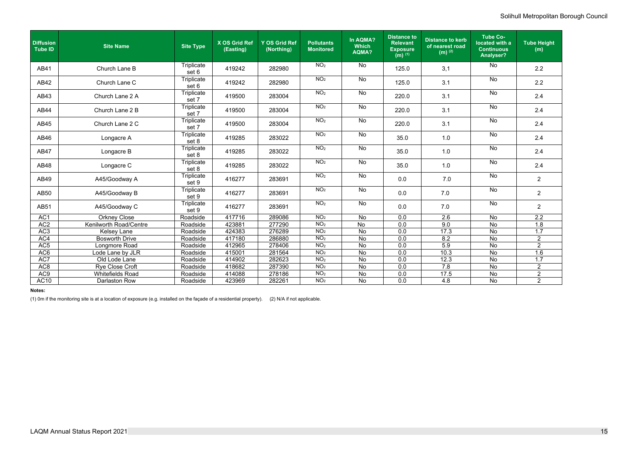### Solihull Metropolitan Borough Council

| <b>Diffusion</b><br><b>Tube ID</b> | <b>Site Name</b>        | <b>Site Type</b>    | X OS Grid Ref<br>(Easting) | <b>Y OS Grid Ref</b><br>(Northing) | <b>Pollutants</b><br><b>Monitored</b> | In AQMA?<br><b>Which</b><br><b>AQMA?</b> | <b>Distance to</b><br><b>Relevant</b><br><b>Exposure</b><br>$(m)$ <sup>(1)</sup> | <b>Distance to kerb</b><br>of nearest road<br>$(m)$ <sup>(2)</sup> | <b>Tube Co-</b><br>located with a<br><b>Continuous</b><br><b>Analyser?</b> | <b>Tube Height</b><br>(m) |
|------------------------------------|-------------------------|---------------------|----------------------------|------------------------------------|---------------------------------------|------------------------------------------|----------------------------------------------------------------------------------|--------------------------------------------------------------------|----------------------------------------------------------------------------|---------------------------|
| AB41                               | Church Lane B           | Triplicate<br>set 6 | 419242                     | 282980                             | NO <sub>2</sub>                       | No                                       | 125.0                                                                            | 3,1                                                                | No                                                                         | 2.2                       |
| AB42                               | Church Lane C           | Triplicate<br>set 6 | 419242                     | 282980                             | NO <sub>2</sub>                       | No                                       | 125.0                                                                            | 3.1                                                                | No                                                                         | 2.2                       |
| AB43                               | Church Lane 2 A         | Triplicate<br>set 7 | 419500                     | 283004                             | NO <sub>2</sub>                       | No                                       | 220.0                                                                            | 3.1                                                                | No                                                                         | 2.4                       |
| <b>AB44</b>                        | Church Lane 2 B         | Triplicate<br>set 7 | 419500                     | 283004                             | NO <sub>2</sub>                       | No                                       | 220.0                                                                            | 3.1                                                                | No                                                                         | 2.4                       |
| AB45                               | Church Lane 2 C         | Triplicate<br>set 7 | 419500                     | 283004                             | NO <sub>2</sub>                       | No                                       | 220.0                                                                            | 3.1                                                                | No                                                                         | 2.4                       |
| AB46                               | Longacre A              | Triplicate<br>set 8 | 419285                     | 283022                             | NO <sub>2</sub>                       | No                                       | 35.0                                                                             | 1.0                                                                | No                                                                         | 2.4                       |
| <b>AB47</b>                        | Longacre B              | Triplicate<br>set 8 | 419285                     | 283022                             | NO <sub>2</sub>                       | No                                       | 35.0                                                                             | 1.0                                                                | $\overline{N}$                                                             | 2.4                       |
| AB48                               | Longacre C              | Triplicate<br>set 8 | 419285                     | 283022                             | NO <sub>2</sub>                       | No                                       | 35.0                                                                             | 1.0                                                                | No                                                                         | 2.4                       |
| AB49                               | A45/Goodway A           | Triplicate<br>set 9 | 416277                     | 283691                             | NO <sub>2</sub>                       | No                                       | 0.0                                                                              | 7.0                                                                | <b>No</b>                                                                  | $\overline{2}$            |
| AB50                               | A45/Goodway B           | Triplicate<br>set 9 | 416277                     | 283691                             | NO <sub>2</sub>                       | No                                       | 0.0                                                                              | 7.0                                                                | <b>No</b>                                                                  | $\overline{2}$            |
| <b>AB51</b>                        | A45/Goodway C           | Triplicate<br>set 9 | 416277                     | 283691                             | NO <sub>2</sub>                       | No                                       | 0.0                                                                              | 7.0                                                                | No                                                                         | $\overline{2}$            |
| AC1                                | <b>Orkney Close</b>     | Roadside            | 417716                     | 289086                             | NO <sub>2</sub>                       | No                                       | 0.0                                                                              | 2.6                                                                | No                                                                         | 2.2                       |
| AC <sub>2</sub>                    | Kenilworth Road/Centre  | Roadside            | 423881                     | 277290                             | NO <sub>2</sub>                       | <b>No</b>                                | 0.0                                                                              | 9.0                                                                | <b>No</b>                                                                  | 1.8                       |
| AC3                                | <b>Kelsey Lane</b>      | Roadside            | 424383                     | 276289                             | NO <sub>2</sub>                       | <b>No</b>                                | 0.0                                                                              | 17.3                                                               | <b>No</b>                                                                  | $\overline{1.7}$          |
| AC4                                | <b>Bosworth Drive</b>   | Roadside            | 417180                     | 286880                             | NO <sub>2</sub>                       | <b>No</b>                                | 0.0                                                                              | 8.2                                                                | No                                                                         | 2                         |
| AC <sub>5</sub>                    | Longmore Road           | Roadside            | 412965                     | 278406                             | NO <sub>2</sub>                       | No                                       | 0.0                                                                              | 5.9                                                                | No                                                                         | $\overline{2}$            |
| AC <sub>6</sub>                    | Lode Lane by JLR        | Roadside            | 415001                     | 281564                             | NO <sub>2</sub>                       | No                                       | 0.0                                                                              | 10.3                                                               | <b>No</b>                                                                  | 1.6                       |
| AC7                                | Old Lode Lane           | Roadside            | 414902                     | 282623                             | NO <sub>2</sub>                       | No                                       | 0.0                                                                              | 12.3                                                               | <b>No</b>                                                                  | 1.7                       |
| AC <sub>8</sub>                    | Rye Close Croft         | Roadside            | 418682                     | 287390                             | NO <sub>2</sub>                       | No                                       | 0.0                                                                              | 7.8                                                                | No                                                                         | $\overline{2}$            |
| AC9                                | <b>Whitefields Road</b> | Roadside            | 414088                     | 278186                             | NO <sub>2</sub>                       | No                                       | 0.0                                                                              | 17.5                                                               | No                                                                         | $\overline{2}$            |
| AC <sub>10</sub>                   | <b>Darlaston Row</b>    | Roadside            | 423969                     | 282261                             | NO <sub>2</sub>                       | <b>No</b>                                | 0.0                                                                              | 4.8                                                                | <b>No</b>                                                                  | $\overline{2}$            |

#### **Notes:**

(1) 0m if the monitoring site is at a location of exposure (e.g. installed on the façade of a residential property). (2) N/A if not applicable.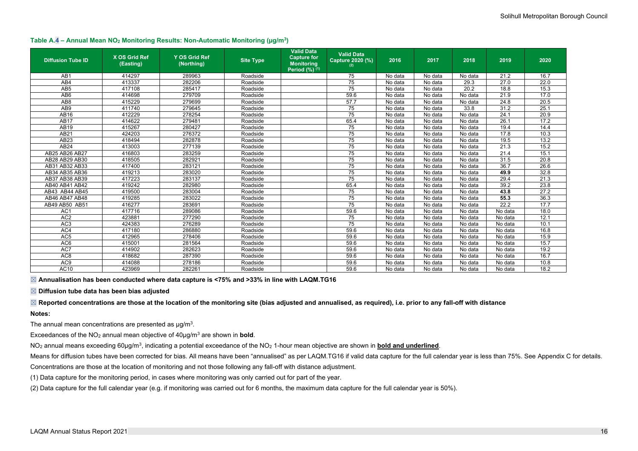### Solihull Metropolitan Borough Council

<span id="page-27-0"></span>

|  |  | Table A.4 - Annual Mean NO <sub>2</sub> Monitoring Results: Non-Automatic Monitoring (µg/m <sup>3</sup> ) |  |
|--|--|-----------------------------------------------------------------------------------------------------------|--|
|--|--|-----------------------------------------------------------------------------------------------------------|--|

| <b>Diffusion Tube ID</b> | X OS Grid Ref<br>(Easting) | <b>Y OS Grid Ref</b><br>(Northing) | <b>Site Type</b> | <b>Valid Data</b><br><b>Capture for</b><br><b>Monitoring</b><br>Period $(\%)^{(1)}$ | <b>Valid Data</b><br>Capture 2020 (%)<br>(2) | 2016    | 2017    | 2018    | 2019    | 2020              |
|--------------------------|----------------------------|------------------------------------|------------------|-------------------------------------------------------------------------------------|----------------------------------------------|---------|---------|---------|---------|-------------------|
| AB1                      | 414297                     | 289963                             | Roadside         |                                                                                     | 75                                           | No data | No data | No data | 21.2    | 16.7              |
| AB4                      | 413337                     | 282206                             | Roadside         |                                                                                     | 75                                           | No data | No data | 29.3    | 27.0    | 22.0              |
| AB <sub>5</sub>          | 417108                     | 285417                             | Roadside         |                                                                                     | 75                                           | No data | No data | 20.2    | 18.8    | 15.3              |
| AB <sub>6</sub>          | 414698                     | 279709                             | Roadside         |                                                                                     | 59.6                                         | No data | No data | No data | 21.9    | 17.0              |
| AB <sub>8</sub>          | 415229                     | 279699                             | Roadside         |                                                                                     | 57.7                                         | No data | No data | No data | 24.8    | $\overline{20.5}$ |
| AB9                      | 411740                     | 279645                             | Roadside         |                                                                                     | 75                                           | No data | No data | 33.8    | 31.2    | 25.1              |
| AB16                     | 412229                     | 278254                             | Roadside         |                                                                                     | 75                                           | No data | No data | No data | 24.1    | 20.9              |
| <b>AB17</b>              | 414622                     | 279481                             | Roadside         |                                                                                     | 65.4                                         | No data | No data | No data | 26.1    | 17.2              |
| AB19                     | 415267                     | 280427                             | Roadside         |                                                                                     | 75                                           | No data | No data | No data | 19.4    | 14.4              |
| AB21                     | 424203                     | 276372                             | Roadside         |                                                                                     | 75                                           | No data | No data | No data | 17.8    | 10.3              |
| AB23                     | 418494                     | 282878                             | Roadside         |                                                                                     | 75                                           | No data | No data | No data | 19.5    | 13.2              |
| AB <sub>24</sub>         | 413003                     | 277139                             | Roadside         |                                                                                     | 75                                           | No data | No data | No data | 21.3    | 15.2              |
| AB25 AB26 AB27           | 416803                     | 283259                             | Roadside         |                                                                                     | $\overline{75}$                              | No data | No data | No data | 21.4    | 15.1              |
| AB28 AB29 AB30           | 418505                     | 282921                             | Roadside         |                                                                                     | 75                                           | No data | No data | No data | 31.5    | 20.8              |
| AB31 AB32 AB33           | 417400                     | 283121                             | Roadside         |                                                                                     | 75                                           | No data | No data | No data | 36.7    | 26.6              |
| AB34 AB35 AB36           | 419213                     | 283020                             | Roadside         |                                                                                     | 75                                           | No data | No data | No data | 49.9    | 32.8              |
| AB37 AB38 AB39           | 417223                     | 283137                             | Roadside         |                                                                                     | 75                                           | No data | No data | No data | 29.4    | 21.3              |
| AB40 AB41 AB42           | 419242                     | 282980                             | Roadside         |                                                                                     | 65.4                                         | No data | No data | No data | 39.2    | 23.8              |
| AB43 AB44 AB45           | 419500                     | 283004                             | Roadside         |                                                                                     | 75                                           | No data | No data | No data | 43.8    | 27.2              |
| AB46 AB47 AB48           | 419285                     | 283022                             | Roadside         |                                                                                     | 75                                           | No data | No data | No data | 55.3    | 36.3              |
| AB49 AB50 AB51           | 416277                     | 283691                             | Roadside         |                                                                                     | 75                                           | No data | No data | No data | 22.2    | 17.7              |
| AC <sub>1</sub>          | 417716                     | 289086                             | Roadside         |                                                                                     | 59.6                                         | No data | No data | No data | No data | 18.0              |
| AC <sub>2</sub>          | 423881                     | 277290                             | Roadside         |                                                                                     | 75                                           | No data | No data | No data | No data | 12.1              |
| AC <sub>3</sub>          | 424383                     | 276289                             | Roadside         |                                                                                     | 75                                           | No data | No data | No data | No data | 10.1              |
| AC4                      | 417180                     | 286880                             | Roadside         |                                                                                     | 59.6                                         | No data | No data | No data | No data | 16.8              |
| AC <sub>5</sub>          | 412965                     | 278406                             | Roadside         |                                                                                     | 59.6                                         | No data | No data | No data | No data | 15.9              |
| AC <sub>6</sub>          | 415001                     | 281564                             | Roadside         |                                                                                     | 59.6                                         | No data | No data | No data | No data | 15.7              |
| AC7                      | 414902                     | 282623                             | Roadside         |                                                                                     | 59.6                                         | No data | No data | No data | No data | 19.2              |
| AC <sub>8</sub>          | 418682                     | 287390                             | Roadside         |                                                                                     | 59.6                                         | No data | No data | No data | No data | 16.7              |
| AC <sub>9</sub>          | 414088                     | 278186                             | Roadside         |                                                                                     | 59.6                                         | No data | No data | No data | No data | 10.8              |
| AC10                     | 423969                     | 282261                             | Roadside         |                                                                                     | 59.6                                         | No data | No data | No data | No data | 18.2              |

☒ **Annualisation has been conducted where data capture is <75% and >33% in line with LAQM.TG16** 

☒ **Diffusion tube data has been bias adjusted** 

☒ **Reported concentrations are those at the location of the monitoring site (bias adjusted and annualised, as required), i.e. prior to any fall-off with distance Notes:**

The annual mean concentrations are presented as  $\mu$ g/m<sup>3</sup>.

Exceedances of the NO<sub>2</sub> annual mean objective of  $40\mu g/m^3$  are shown in **bold**.

NO<sub>2</sub> annual means exceeding 60µg/m<sup>3</sup>, indicating a potential exceedance of the NO<sub>2</sub> 1-hour mean objective are shown in <mark>bold and underlined</mark>.

Means for diffusion tubes have been corrected for bias. All means have been "annualised" as per LAQM.TG16 if valid data capture for the full calendar year is less than 75%. See [Appendix C](#page-31-0) for details.

Concentrations are those at the location of monitoring and not those following any fall-off with distance adjustment.

(1) Data capture for the monitoring period, in cases where monitoring was only carried out for part of the year.

(2) Data capture for the full calendar year (e.g. if monitoring was carried out for 6 months, the maximum data capture for the full calendar year is 50%).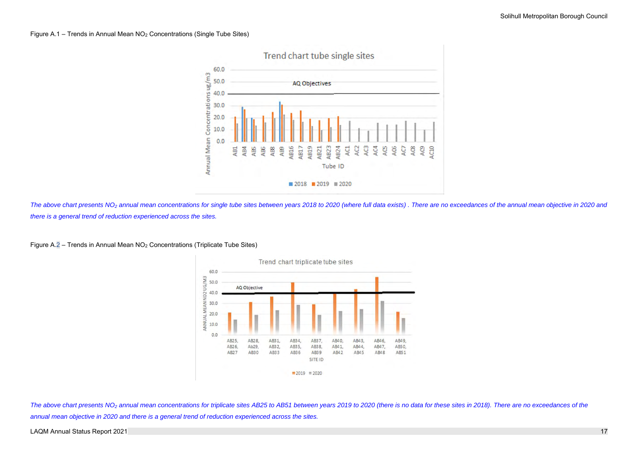<span id="page-28-0"></span>

The above chart presents NO<sub>2</sub> annual mean concentrations for single tube sites between years 2018 to 2020 (where full data exists). There are no exceedances of the annual mean objective in 2020 and *there is a general trend of reduction experienced across the sites.*

The above chart presents NO<sub>2</sub> annual mean concentrations for triplicate sites AB25 to AB51 between years 2019 to 2020 (there is no data for these sites in 2018). There are no exceedances of the *annual mean objective in 2020 and there is a general trend of reduction experienced across the sites.*

LAQM Annual Status Report 2021 **17** 

Figure A.2 – Trends in Annual Mean NO<sup>2</sup> Concentrations (Triplicate Tube Sites)

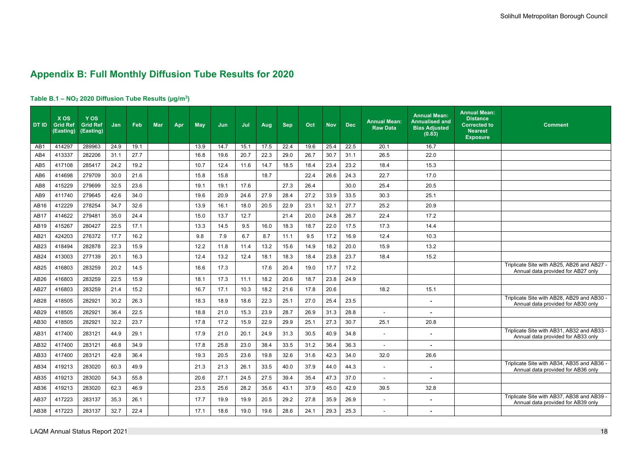### <span id="page-29-0"></span>**Appendix B: Full Monthly Diffusion Tube Results for 2020**

### <span id="page-29-1"></span>**Table B.1 – NO<sup>2</sup> 2020 Diffusion Tube Results (µg/m<sup>3</sup> )**

| <b>DT ID</b>     | <b>XOS</b><br><b>Grid Ref</b><br>(Easting) | <b>YOS</b><br><b>Grid Ref</b><br>(Easting) | <b>Jan</b> | Feb  | <b>Mar</b> | Apr | <b>May</b> | Jun  | Jul  | <b>Aug</b> | <b>Sep</b> | Oct  | <b>Nov</b> | <b>Dec</b> | <b>Annual Mean:</b><br><b>Raw Data</b> | <b>Annual Mean:</b><br><b>Annualised and</b><br><b>Bias Adjusted</b><br>(0.83) | <b>Annual Mean:</b><br><b>Distance</b><br><b>Corrected to</b><br><b>Nearest</b><br><b>Exposure</b> | <b>Comment</b>                                                                   |
|------------------|--------------------------------------------|--------------------------------------------|------------|------|------------|-----|------------|------|------|------------|------------|------|------------|------------|----------------------------------------|--------------------------------------------------------------------------------|----------------------------------------------------------------------------------------------------|----------------------------------------------------------------------------------|
| AB1              | 414297                                     | 289963                                     | 24.9       | 19.1 |            |     | 13.9       | 14.7 | 15.1 | 17.5       | 22.4       | 19.6 | 25.4       | 22.5       | 20.1                                   | 16.7                                                                           |                                                                                                    |                                                                                  |
| AB4              | 413337                                     | 282206                                     | 31.1       | 27.7 |            |     | 16.8       | 19.6 | 20.7 | 22.3       | 29.0       | 26.7 | 30.7       | 31.1       | 26.5                                   | 22.0                                                                           |                                                                                                    |                                                                                  |
| AB <sub>5</sub>  | 417108                                     | 285417                                     | 24.2       | 19.2 |            |     | 10.7       | 12.4 | 11.6 | 14.7       | 18.5       | 18.4 | 23.4       | 23.2       | 18.4                                   | 15.3                                                                           |                                                                                                    |                                                                                  |
| AB <sub>6</sub>  | 414698                                     | 279709                                     | 30.0       | 21.6 |            |     | 15.8       | 15.8 |      | 18.7       |            | 22.4 | 26.6       | 24.3       | 22.7                                   | 17.0                                                                           |                                                                                                    |                                                                                  |
| AB <sub>8</sub>  | 415229                                     | 279699                                     | 32.5       | 23.6 |            |     | 19.1       | 19.1 | 17.6 |            | 27.3       | 26.4 |            | 30.0       | 25.4                                   | 20.5                                                                           |                                                                                                    |                                                                                  |
| AB9              | 411740                                     | 279645                                     | 42.6       | 34.0 |            |     | 19.6       | 20.9 | 24.6 | 27.9       | 28.4       | 27.2 | 33.9       | 33.5       | 30.3                                   | 25.1                                                                           |                                                                                                    |                                                                                  |
| AB16             | 412229                                     | 278254                                     | 34.7       | 32.6 |            |     | 13.9       | 16.1 | 18.0 | 20.5       | 22.9       | 23.1 | 32.1       | 27.7       | 25.2                                   | 20.9                                                                           |                                                                                                    |                                                                                  |
| <b>AB17</b>      | 414622                                     | 279481                                     | 35.0       | 24.4 |            |     | 15.0       | 13.7 | 12.7 |            | 21.4       | 20.0 | 24.8       | 26.7       | 22.4                                   | 17.2                                                                           |                                                                                                    |                                                                                  |
| AB19             | 415267                                     | 280427                                     | 22.5       | 17.1 |            |     | 13.3       | 14.5 | 9.5  | 16.0       | 18.3       | 18.7 | 22.0       | 17.5       | 17.3                                   | 14.4                                                                           |                                                                                                    |                                                                                  |
| AB21             | 424203                                     | 276372                                     | 17.7       | 16.2 |            |     | 9.8        | 7.9  | 6.7  | 8.7        | 11.1       | 9.5  | 17.2       | 16.9       | 12.4                                   | 10.3                                                                           |                                                                                                    |                                                                                  |
| AB <sub>23</sub> | 418494                                     | 282878                                     | 22.3       | 15.9 |            |     | 12.2       | 11.8 | 11.4 | 13.2       | 15.6       | 14.9 | 18.2       | 20.0       | 15.9                                   | 13.2                                                                           |                                                                                                    |                                                                                  |
| AB24             | 413003                                     | 277139                                     | 20.1       | 16.3 |            |     | 12.4       | 13.2 | 12.4 | 18.1       | 18.3       | 18.4 | 23.8       | 23.7       | 18.4                                   | 15.2                                                                           |                                                                                                    |                                                                                  |
| AB25             | 416803                                     | 283259                                     | 20.2       | 14.5 |            |     | 16.6       | 17.3 |      | 17.6       | 20.4       | 19.0 | 17.7       | 17.2       |                                        |                                                                                |                                                                                                    | Triplicate Site with AB25, AB26 and AB27 -<br>Annual data provided for AB27 only |
| AB <sub>26</sub> | 416803                                     | 283259                                     | 22.5       | 15.9 |            |     | 18.1       | 17.3 | 11.1 | 18.2       | 20.6       | 18.7 | 23.8       | 24.9       |                                        |                                                                                |                                                                                                    |                                                                                  |
| AB <sub>27</sub> | 416803                                     | 283259                                     | 21.4       | 15.2 |            |     | 16.7       | 17.1 | 10.3 | 18.2       | 21.6       | 17.8 | 20.6       |            | 18.2                                   | 15.1                                                                           |                                                                                                    |                                                                                  |
| AB28             | 418505                                     | 282921                                     | 30.2       | 26.3 |            |     | 18.3       | 18.9 | 18.6 | 22.3       | 25.1       | 27.0 | 25.4       | 23.5       |                                        | $\blacksquare$                                                                 |                                                                                                    | Triplicate Site with AB28, AB29 and AB30 -<br>Annual data provided for AB30 only |
| AB29             | 418505                                     | 282921                                     | 36.4       | 22.5 |            |     | 18.8       | 21.0 | 15.3 | 23.9       | 28.7       | 26.9 | 31.3       | 28.8       | $\blacksquare$                         |                                                                                |                                                                                                    |                                                                                  |
| AB30             | 418505                                     | 282921                                     | 32.2       | 23.7 |            |     | 17.8       | 17.2 | 15.9 | 22.9       | 29.9       | 25.1 | 27.3       | 30.7       | 25.1                                   | 20.8                                                                           |                                                                                                    |                                                                                  |
| AB31             | 417400                                     | 283121                                     | 44.9       | 29.1 |            |     | 17.9       | 21.0 | 20.1 | 24.9       | 31.3       | 30.5 | 40.9       | 34.8       | $\overline{\phantom{0}}$               | $\blacksquare$                                                                 |                                                                                                    | Triplicate Site with AB31, AB32 and AB33 -<br>Annual data provided for AB33 only |
| AB32             | 417400                                     | 283121                                     | 46.8       | 34.9 |            |     | 17.8       | 25.8 | 23.0 | 38.4       | 33.5       | 31.2 | 36.4       | 36.3       |                                        |                                                                                |                                                                                                    |                                                                                  |
| AB33             | 417400                                     | 283121                                     | 42.8       | 36.4 |            |     | 19.3       | 20.5 | 23.6 | 19.8       | 32.6       | 31.6 | 42.3       | 34.0       | 32.0                                   | 26.6                                                                           |                                                                                                    |                                                                                  |
| AB34             | 419213                                     | 283020                                     | 60.3       | 49.9 |            |     | 21.3       | 21.3 | 26.1 | 33.5       | 40.0       | 37.9 | 44.0       | 44.3       | $\blacksquare$                         |                                                                                |                                                                                                    | Triplicate Site with AB34, AB35 and AB36 -<br>Annual data provided for AB36 only |
| AB35             | 419213                                     | 283020                                     | 54.3       | 55.8 |            |     | 20.6       | 27.1 | 24.5 | 27.5       | 39.4       | 35.4 | 47.3       | 37.0       | $\blacksquare$                         | $\blacksquare$                                                                 |                                                                                                    |                                                                                  |
| AB36             | 419213                                     | 283020                                     | 62.3       | 46.9 |            |     | 23.5       | 25.6 | 28.2 | 35.6       | 43.1       | 37.9 | 45.0       | 42.9       | 39.5                                   | 32.8                                                                           |                                                                                                    |                                                                                  |
| AB37             | 417223                                     | 283137                                     | 35.3       | 26.1 |            |     | 17.7       | 19.9 | 19.9 | 20.5       | 29.2       | 27.8 | 35.9       | 26.9       |                                        |                                                                                |                                                                                                    | Triplicate Site with AB37, AB38 and AB39 -<br>Annual data provided for AB39 only |
| AB38             | 417223                                     | 283137                                     | 32.7       | 22.4 |            |     | 17.1       | 18.6 | 19.0 | 19.6       | 28.6       | 24.1 | 29.3       | 25.3       | $\blacksquare$                         | $\blacksquare$                                                                 |                                                                                                    |                                                                                  |

| lean:<br>ce<br>$\overline{ad}$ to<br>st<br>ure | <b>Comment</b>                                                                   |
|------------------------------------------------|----------------------------------------------------------------------------------|
|                                                |                                                                                  |
|                                                |                                                                                  |
|                                                |                                                                                  |
|                                                |                                                                                  |
|                                                |                                                                                  |
|                                                |                                                                                  |
|                                                |                                                                                  |
|                                                |                                                                                  |
|                                                |                                                                                  |
|                                                |                                                                                  |
|                                                |                                                                                  |
|                                                |                                                                                  |
|                                                | Triplicate Site with AB25, AB26 and AB27 -<br>Annual data provided for AB27 only |
|                                                |                                                                                  |
|                                                |                                                                                  |
|                                                | Triplicate Site with AB28, AB29 and AB30 -<br>Annual data provided for AB30 only |
|                                                |                                                                                  |
|                                                |                                                                                  |
|                                                | Triplicate Site with AB31, AB32 and AB33 -                                       |
|                                                | Annual data provided for AB33 only                                               |
|                                                |                                                                                  |
|                                                | Triplicate Site with AB34, AB35 and AB36 -                                       |
|                                                | Annual data provided for AB36 only                                               |
|                                                |                                                                                  |
|                                                |                                                                                  |
|                                                | Triplicate Site with AB37, AB38 and AB39 -<br>Annual data provided for AB39 only |
|                                                |                                                                                  |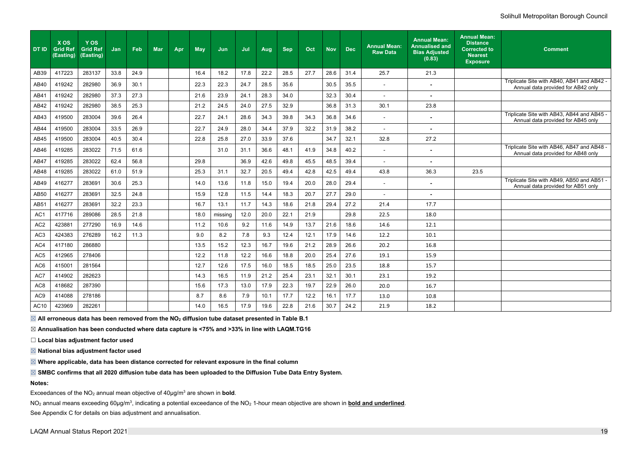### Solihull Metropolitan Borough Council

| DT ID           | <b>XOS</b><br>Grid Ref<br>(Easting) | Y OS<br><b>Grid Ref</b><br>(Easting) | Jan  | Feb  | <b>Mar</b> | Apr | <b>May</b> | Jun     | Jul  | Aug  | <b>Sep</b> | Oct  | <b>Nov</b> | <b>Dec</b> | <b>Annual Mean:</b><br><b>Raw Data</b> | <b>Annual Mean:</b><br><b>Annualised and</b><br><b>Bias Adjusted</b><br>(0.83) | <b>Annual Mean:</b><br><b>Distance</b><br><b>Corrected to</b><br><b>Nearest</b><br><b>Exposure</b> | <b>Comment</b>                                                                   |
|-----------------|-------------------------------------|--------------------------------------|------|------|------------|-----|------------|---------|------|------|------------|------|------------|------------|----------------------------------------|--------------------------------------------------------------------------------|----------------------------------------------------------------------------------------------------|----------------------------------------------------------------------------------|
| AB39            | 417223                              | 283137                               | 33.8 | 24.9 |            |     | 16.4       | 18.2    | 17.8 | 22.2 | 28.5       | 27.7 | 28.6       | 31.4       | 25.7                                   | 21.3                                                                           |                                                                                                    |                                                                                  |
| AB40            | 419242                              | 282980                               | 36.9 | 30.1 |            |     | 22.3       | 22.3    | 24.7 | 28.5 | 35.6       |      | 30.5       | 35.5       | $\overline{\phantom{a}}$               |                                                                                |                                                                                                    | Triplicate Site with AB40, AB41 and AB42 -<br>Annual data provided for AB42 only |
| AB41            | 419242                              | 282980                               | 37.3 | 27.3 |            |     | 21.6       | 23.9    | 24.1 | 28.3 | 34.0       |      | 32.3       | 30.4       | $\blacksquare$                         |                                                                                |                                                                                                    |                                                                                  |
| AB42            | 419242                              | 282980                               | 38.5 | 25.3 |            |     | 21.2       | 24.5    | 24.0 | 27.5 | 32.9       |      | 36.8       | 31.3       | 30.1                                   | 23.8                                                                           |                                                                                                    |                                                                                  |
| AB43            | 419500                              | 283004                               | 39.6 | 26.4 |            |     | 22.7       | 24.1    | 28.6 | 34.3 | 39.8       | 34.3 | 36.8       | 34.6       | $\sim$                                 | $\blacksquare$                                                                 |                                                                                                    | Triplicate Site with AB43, AB44 and AB45 -<br>Annual data provided for AB45 only |
| <b>AB44</b>     | 419500                              | 283004                               | 33.5 | 26.9 |            |     | 22.7       | 24.9    | 28.0 | 34.4 | 37.9       | 32.2 | 31.9       | 38.2       |                                        |                                                                                |                                                                                                    |                                                                                  |
| AB45            | 419500                              | 283004                               | 40.5 | 30.4 |            |     | 22.8       | 25.8    | 27.0 | 33.9 | 37.6       |      | 34.7       | 32.1       | 32.8                                   | 27.2                                                                           |                                                                                                    |                                                                                  |
| AB46            | 419285                              | 283022                               | 71.5 | 61.6 |            |     |            | 31.0    | 31.1 | 36.6 | 48.1       | 41.9 | 34.8       | 40.2       | $\sim$                                 | $\blacksquare$                                                                 |                                                                                                    | Triplicate Site with AB46, AB47 and AB48 -<br>Annual data provided for AB48 only |
| <b>AB47</b>     | 419285                              | 283022                               | 62.4 | 56.8 |            |     | 29.8       |         | 36.9 | 42.6 | 49.8       | 45.5 | 48.5       | 39.4       |                                        |                                                                                |                                                                                                    |                                                                                  |
| AB48            | 419285                              | 283022                               | 61.0 | 51.9 |            |     | 25.3       | 31.1    | 32.7 | 20.5 | 49.4       | 42.8 | 42.5       | 49.4       | 43.8                                   | 36.3                                                                           | 23.5                                                                                               |                                                                                  |
| AB49            | 416277                              | 283691                               | 30.6 | 25.3 |            |     | 14.0       | 13.6    | 11.8 | 15.0 | 19.4       | 20.0 | 28.0       | 29.4       | $\blacksquare$                         |                                                                                |                                                                                                    | Triplicate Site with AB49, AB50 and AB51 -<br>Annual data provided for AB51 only |
| AB50            | 416277                              | 283691                               | 32.5 | 24.8 |            |     | 15.9       | 12.8    | 11.5 | 14.4 | 18.3       | 20.7 | 27.7       | 29.0       | $\overline{\phantom{a}}$               |                                                                                |                                                                                                    |                                                                                  |
| <b>AB51</b>     | 416277                              | 283691                               | 32.2 | 23.3 |            |     | 16.7       | 13.1    | 11.7 | 14.3 | 18.6       | 21.8 | 29.4       | 27.2       | 21.4                                   | 17.7                                                                           |                                                                                                    |                                                                                  |
| AC <sub>1</sub> | 417716                              | 289086                               | 28.5 | 21.8 |            |     | 18.0       | missing | 12.0 | 20.0 | 22.1       | 21.9 |            | 29.8       | 22.5                                   | 18.0                                                                           |                                                                                                    |                                                                                  |
| AC <sub>2</sub> | 423881                              | 277290                               | 16.9 | 14.6 |            |     | 11.2       | 10.6    | 9.2  | 11.6 | 14.9       | 13.7 | 21.6       | 18.6       | 14.6                                   | 12.1                                                                           |                                                                                                    |                                                                                  |
| AC <sub>3</sub> | 424383                              | 276289                               | 16.2 | 11.3 |            |     | 9.0        | 8.2     | 7.8  | 9.3  | 12.4       | 12.1 | 17.9       | 14.6       | 12.2                                   | 10.1                                                                           |                                                                                                    |                                                                                  |
| AC4             | 417180                              | 286880                               |      |      |            |     | 13.5       | 15.2    | 12.3 | 16.7 | 19.6       | 21.2 | 28.9       | 26.6       | 20.2                                   | 16.8                                                                           |                                                                                                    |                                                                                  |
| AC <sub>5</sub> | 412965                              | 278406                               |      |      |            |     | 12.2       | 11.8    | 12.2 | 16.6 | 18.8       | 20.0 | 25.4       | 27.6       | 19.1                                   | 15.9                                                                           |                                                                                                    |                                                                                  |
| AC <sub>6</sub> | 415001                              | 281564                               |      |      |            |     | 12.7       | 12.6    | 17.5 | 16.0 | 18.5       | 18.5 | 25.0       | 23.5       | 18.8                                   | 15.7                                                                           |                                                                                                    |                                                                                  |
| AC7             | 414902                              | 282623                               |      |      |            |     | 14.3       | 16.5    | 11.9 | 21.2 | 25.4       | 23.1 | 32.1       | 30.1       | 23.1                                   | 19.2                                                                           |                                                                                                    |                                                                                  |
| AC <sub>8</sub> | 418682                              | 287390                               |      |      |            |     | 15.6       | 17.3    | 13.0 | 17.9 | 22.3       | 19.7 | 22.9       | 26.0       | 20.0                                   | 16.7                                                                           |                                                                                                    |                                                                                  |
| AC <sub>9</sub> | 414088                              | 278186                               |      |      |            |     | 8.7        | 8.6     | 7.9  | 10.1 | 17.7       | 12.2 | 16.1       | 17.7       | 13.0                                   | 10.8                                                                           |                                                                                                    |                                                                                  |
| <b>AC10</b>     | 423969                              | 282261                               |      |      |            |     | 14.0       | 16.5    | 17.9 | 19.6 | 22.8       | 21.6 | 30.7       | 24.2       | 21.9                                   | 18.2                                                                           |                                                                                                    |                                                                                  |

NO<sub>2</sub> annual means exceeding 60µg/m<sup>3</sup>, indicating a potential exceedance of the NO<sub>2</sub> 1-hour mean objective are shown in <mark>bold and underlined</mark>. See [Appendix C](#page-31-0) for details on bias adjustment and annualisation.

☒ **All erroneous data has been removed from the NO<sup>2</sup> diffusion tube dataset presented in Table B.1**

☒ **Annualisation has been conducted where data capture is <75% and >33% in line with LAQM.TG16** 

☐ **Local bias adjustment factor used**

☒ **National bias adjustment factor used**

☒ **Where applicable, data has been distance corrected for relevant exposure in the final column**

☒ **SMBC confirms that all 2020 diffusion tube data has been uploaded to the Diffusion Tube Data Entry System.**

**Notes:** 

Exceedances of the NO<sub>2</sub> annual mean objective of 40µg/m<sup>3</sup> are shown in **bold**.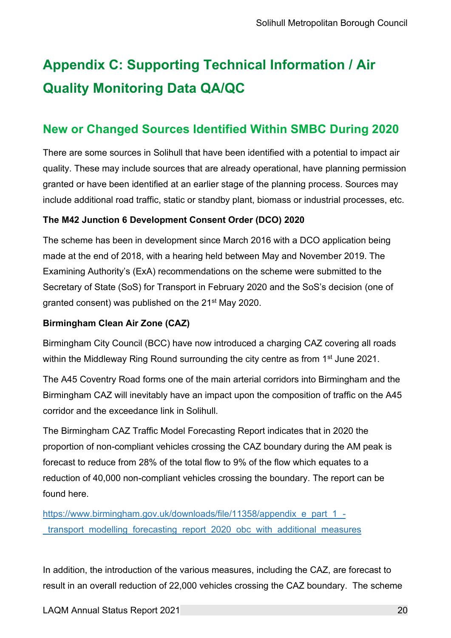### <span id="page-31-0"></span>**Appendix C: Supporting Technical Information / Air Quality Monitoring Data QA/QC**

### <span id="page-31-1"></span>**New or Changed Sources Identified Within SMBC During 2020**

There are some sources in Solihull that have been identified with a potential to impact air quality. These may include sources that are already operational, have planning permission granted or have been identified at an earlier stage of the planning process. Sources may include additional road traffic, static or standby plant, biomass or industrial processes, etc.

### **The M42 Junction 6 Development Consent Order (DCO) 2020**

The scheme has been in development since March 2016 with a DCO application being made at the end of 2018, with a hearing held between May and November 2019. The Examining Authority's (ExA) recommendations on the scheme were submitted to the Secretary of State (SoS) for Transport in February 2020 and the SoS's decision (one of granted consent) was published on the 21st May 2020.

### **Birmingham Clean Air Zone (CAZ)**

Birmingham City Council (BCC) have now introduced a charging CAZ covering all roads within the Middleway Ring Round surrounding the city centre as from 1<sup>st</sup> June 2021.

The A45 Coventry Road forms one of the main arterial corridors into Birmingham and the Birmingham CAZ will inevitably have an impact upon the composition of traffic on the A45 corridor and the exceedance link in Solihull.

The Birmingham CAZ Traffic Model Forecasting Report indicates that in 2020 the proportion of non-compliant vehicles crossing the CAZ boundary during the AM peak is forecast to reduce from 28% of the total flow to 9% of the flow which equates to a reduction of 40,000 non-compliant vehicles crossing the boundary. The report can be found here.

[https://www.birmingham.gov.uk/downloads/file/11358/appendix\\_e\\_part\\_1\\_](https://www.birmingham.gov.uk/downloads/file/11358/appendix_e_part_1_-_transport_modelling_forecasting_report_2020_obc_with_additional_measures) transport modelling forecasting report 2020 obc with additional measures

In addition, the introduction of the various measures, including the CAZ, are forecast to result in an overall reduction of 22,000 vehicles crossing the CAZ boundary. The scheme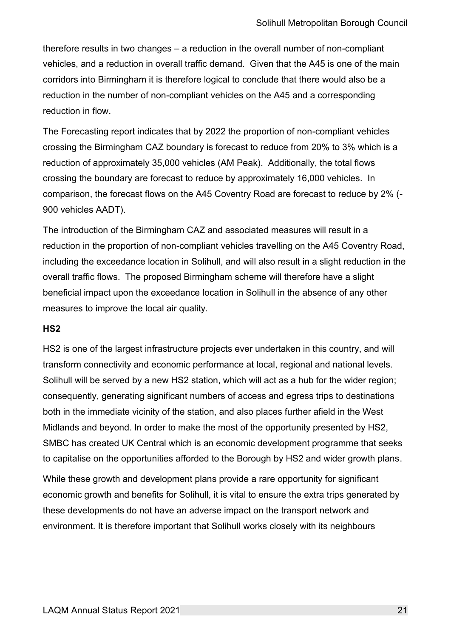therefore results in two changes – a reduction in the overall number of non-compliant vehicles, and a reduction in overall traffic demand. Given that the A45 is one of the main corridors into Birmingham it is therefore logical to conclude that there would also be a reduction in the number of non-compliant vehicles on the A45 and a corresponding reduction in flow.

The Forecasting report indicates that by 2022 the proportion of non-compliant vehicles crossing the Birmingham CAZ boundary is forecast to reduce from 20% to 3% which is a reduction of approximately 35,000 vehicles (AM Peak). Additionally, the total flows crossing the boundary are forecast to reduce by approximately 16,000 vehicles. In comparison, the forecast flows on the A45 Coventry Road are forecast to reduce by 2% (- 900 vehicles AADT).

The introduction of the Birmingham CAZ and associated measures will result in a reduction in the proportion of non-compliant vehicles travelling on the A45 Coventry Road, including the exceedance location in Solihull, and will also result in a slight reduction in the overall traffic flows. The proposed Birmingham scheme will therefore have a slight beneficial impact upon the exceedance location in Solihull in the absence of any other measures to improve the local air quality.

#### **HS2**

HS2 is one of the largest infrastructure projects ever undertaken in this country, and will transform connectivity and economic performance at local, regional and national levels. Solihull will be served by a new HS2 station, which will act as a hub for the wider region; consequently, generating significant numbers of access and egress trips to destinations both in the immediate vicinity of the station, and also places further afield in the West Midlands and beyond. In order to make the most of the opportunity presented by HS2, SMBC has created UK Central which is an economic development programme that seeks to capitalise on the opportunities afforded to the Borough by HS2 and wider growth plans.

While these growth and development plans provide a rare opportunity for significant economic growth and benefits for Solihull, it is vital to ensure the extra trips generated by these developments do not have an adverse impact on the transport network and environment. It is therefore important that Solihull works closely with its neighbours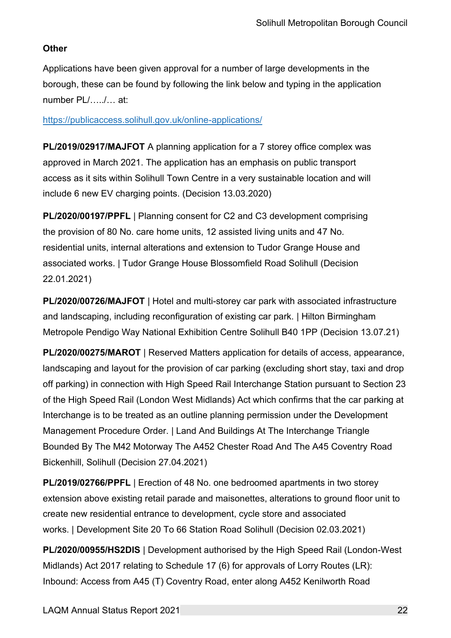### **Other**

Applications have been given approval for a number of large developments in the borough, these can be found by following the link below and typing in the application number PL/…../… at:

#### <https://publicaccess.solihull.gov.uk/online-applications/>

**PL/2019/02917/MAJFOT** A planning application for a 7 storey office complex was approved in March 2021. The application has an emphasis on public transport access as it sits within Solihull Town Centre in a very sustainable location and will include 6 new EV charging points. (Decision 13.03.2020)

**PL/2020/00197/PPFL** | Planning consent for C2 and C3 development comprising the provision of 80 No. care home units, 12 assisted living units and 47 No. residential units, internal alterations and extension to Tudor Grange House and associated works. | Tudor Grange House Blossomfield Road Solihull (Decision 22.01.2021)

<span id="page-33-0"></span>**PL/2020/00726/MAJFOT** | Hotel and multi-storey car park with associated infrastructure and landscaping, including reconfiguration of existing car park. | Hilton Birmingham Metropole Pendigo Way National Exhibition Centre Solihull B40 1PP (Decision 13.07.21)

**PL/2020/00275/MAROT** | Reserved Matters application for details of access, appearance, landscaping and layout for the provision of car parking (excluding short stay, taxi and drop off parking) in connection with High Speed Rail Interchange Station pursuant to Section 23 of the High Speed Rail (London West Midlands) Act which confirms that the car parking at Interchange is to be treated as an outline planning permission under the Development Management Procedure Order. | Land And Buildings At The Interchange Triangle Bounded By The M42 Motorway The A452 Chester Road And The A45 Coventry Road Bickenhill, Solihull (Decision 27.04.2021)

**PL/2019/02766/PPFL** | Erection of 48 No. one bedroomed apartments in two storey extension above existing retail parade and maisonettes, alterations to ground floor unit to create new residential entrance to development, cycle store and associated works. | Development Site 20 To 66 Station Road Solihull (Decision 02.03.2021)

**PL/2020/00955/HS2DIS** | Development authorised by the High Speed Rail (London-West Midlands) Act 2017 relating to Schedule 17 (6) for approvals of Lorry Routes (LR): Inbound: Access from A45 (T) Coventry Road, enter along A452 Kenilworth Road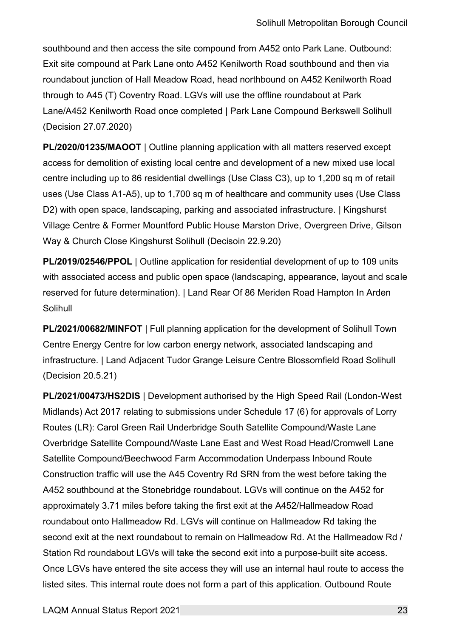southbound and then access the site compound from A452 onto Park Lane. Outbound: Exit site compound at Park Lane onto A452 Kenilworth Road southbound and then via roundabout junction of Hall Meadow Road, head northbound on A452 Kenilworth Road through to A45 (T) Coventry Road. LGVs will use the offline roundabout at Park Lane/A452 Kenilworth Road once completed | Park Lane Compound Berkswell Solihull (Decision 27.07.2020)

**PL/2020/01235/MAOOT** | Outline planning application with all matters reserved except access for demolition of existing local centre and development of a new mixed use local centre including up to 86 residential dwellings (Use Class C3), up to 1,200 sq m of retail uses (Use Class A1-A5), up to 1,700 sq m of healthcare and community uses (Use Class D2) with open space, landscaping, parking and associated infrastructure. | Kingshurst Village Centre & Former Mountford Public House Marston Drive, Overgreen Drive, Gilson Way & Church Close Kingshurst Solihull (Decisoin 22.9.20)

**PL/2019/02546/PPOL** | Outline application for residential development of up to 109 units with associated access and public open space (landscaping, appearance, layout and scale reserved for future determination). | Land Rear Of 86 Meriden Road Hampton In Arden Solihull

**PL/2021/00682/MINFOT** | Full planning application for the development of Solihull Town Centre Energy Centre for low carbon energy network, associated landscaping and infrastructure. | Land Adjacent Tudor Grange Leisure Centre Blossomfield Road Solihull (Decision 20.5.21)

**PL/2021/00473/HS2DIS** | Development authorised by the High Speed Rail (London-West Midlands) Act 2017 relating to submissions under Schedule 17 (6) for approvals of Lorry Routes (LR): Carol Green Rail Underbridge South Satellite Compound/Waste Lane Overbridge Satellite Compound/Waste Lane East and West Road Head/Cromwell Lane Satellite Compound/Beechwood Farm Accommodation Underpass Inbound Route Construction traffic will use the A45 Coventry Rd SRN from the west before taking the A452 southbound at the Stonebridge roundabout. LGVs will continue on the A452 for approximately 3.71 miles before taking the first exit at the A452/Hallmeadow Road roundabout onto Hallmeadow Rd. LGVs will continue on Hallmeadow Rd taking the second exit at the next roundabout to remain on Hallmeadow Rd. At the Hallmeadow Rd / Station Rd roundabout LGVs will take the second exit into a purpose-built site access. Once LGVs have entered the site access they will use an internal haul route to access the listed sites. This internal route does not form a part of this application. Outbound Route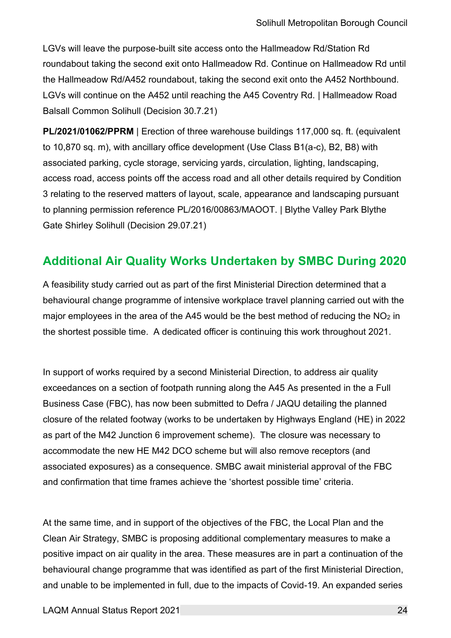LGVs will leave the purpose-built site access onto the Hallmeadow Rd/Station Rd roundabout taking the second exit onto Hallmeadow Rd. Continue on Hallmeadow Rd until the Hallmeadow Rd/A452 roundabout, taking the second exit onto the A452 Northbound. LGVs will continue on the A452 until reaching the A45 Coventry Rd. | Hallmeadow Road Balsall Common Solihull (Decision 30.7.21)

**PL/2021/01062/PPRM** | Erection of three warehouse buildings 117,000 sq. ft. (equivalent to 10,870 sq. m), with ancillary office development (Use Class B1(a-c), B2, B8) with associated parking, cycle storage, servicing yards, circulation, lighting, landscaping, access road, access points off the access road and all other details required by Condition 3 relating to the reserved matters of layout, scale, appearance and landscaping pursuant to planning permission reference PL/2016/00863/MAOOT. | Blythe Valley Park Blythe Gate Shirley Solihull (Decision 29.07.21)

### **Additional Air Quality Works Undertaken by SMBC During 2020**

A feasibility study carried out as part of the first Ministerial Direction determined that a behavioural change programme of intensive workplace travel planning carried out with the major employees in the area of the A45 would be the best method of reducing the  $NO<sub>2</sub>$  in the shortest possible time. A dedicated officer is continuing this work throughout 2021.

In support of works required by a second Ministerial Direction, to address air quality exceedances on a section of footpath running along the A45 As presented in the a Full Business Case (FBC), has now been submitted to Defra / JAQU detailing the planned closure of the related footway (works to be undertaken by Highways England (HE) in 2022 as part of the M42 Junction 6 improvement scheme). The closure was necessary to accommodate the new HE M42 DCO scheme but will also remove receptors (and associated exposures) as a consequence. SMBC await ministerial approval of the FBC and confirmation that time frames achieve the 'shortest possible time' criteria.

At the same time, and in support of the objectives of the FBC, the Local Plan and the Clean Air Strategy, SMBC is proposing additional complementary measures to make a positive impact on air quality in the area. These measures are in part a continuation of the behavioural change programme that was identified as part of the first Ministerial Direction, and unable to be implemented in full, due to the impacts of Covid-19. An expanded series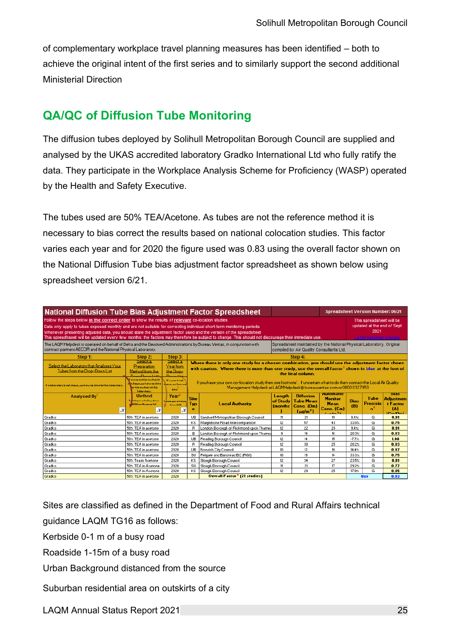of complementary workplace travel planning measures has been identified – both to achieve the original intent of the first series and to similarly support the second additional Ministerial Direction

### <span id="page-36-0"></span>**QA/QC of Diffusion Tube Monitoring**

The diffusion tubes deployed by Solihull Metropolitan Borough Council are supplied and analysed by the UKAS accredited laboratory Gradko International Ltd who fully ratify the data. They participate in the Workplace Analysis Scheme for Proficiency (WASP) operated by the Health and Safety Executive.

The tubes used are 50% TEA/Acetone. As tubes are not the reference method it is necessary to bias correct the results based on national colocation studies. This factor varies each year and for 2020 the figure used was 0.83 using the overall factor shown on the National Diffusion Tube bias adjustment factor spreadsheet as shown below using spreadsheet version 6/21.

| <b>National Diffusion Tube Bias Adjustment Factor Spreadsheet</b>                                                                                                                                                                                                                                                                                                                                                                                                                                   |                                                                                                                                                                                                                                                                                                                                                                        |                                                 | <b>Spreadsheet Version Number: 06/21</b>                                                                                                                                                                    |                                                                          |                                      |                                                                     |                                                                         |                    |                                                                                                |                                                                         |  |
|-----------------------------------------------------------------------------------------------------------------------------------------------------------------------------------------------------------------------------------------------------------------------------------------------------------------------------------------------------------------------------------------------------------------------------------------------------------------------------------------------------|------------------------------------------------------------------------------------------------------------------------------------------------------------------------------------------------------------------------------------------------------------------------------------------------------------------------------------------------------------------------|-------------------------------------------------|-------------------------------------------------------------------------------------------------------------------------------------------------------------------------------------------------------------|--------------------------------------------------------------------------|--------------------------------------|---------------------------------------------------------------------|-------------------------------------------------------------------------|--------------------|------------------------------------------------------------------------------------------------|-------------------------------------------------------------------------|--|
| Follow the steps below in the correct order to show the results of relevant co-location studies<br>Data only apply to tubes exposed monthly and are not suitable for correcting individual short-term monitoring periods<br>Whenever presenting adjusted data, you should state the adjustment factor used and the version of the spreadsheet<br>This spreadhseet will be updated every few months: the factors may therefore be subject to change. This should not discourage their immediate use. |                                                                                                                                                                                                                                                                                                                                                                        |                                                 |                                                                                                                                                                                                             |                                                                          |                                      |                                                                     |                                                                         |                    | This spreadsheet will be<br>updated at the end of Sept<br>2021<br><b>LAQM Helodesk Website</b> |                                                                         |  |
| Spreadsheet maintained by the National Physical Laboratory. Original<br>The LAQM Helpdesk is operated on behalf of Defra and the Devolved Administrations by Bureau Veritas, in conjunction with<br>contract partners AECOM and the National Physical Laboratory.<br>compiled by Air Quality Consultants Ltd.                                                                                                                                                                                       |                                                                                                                                                                                                                                                                                                                                                                        |                                                 |                                                                                                                                                                                                             |                                                                          |                                      |                                                                     |                                                                         |                    |                                                                                                |                                                                         |  |
| Step 1:                                                                                                                                                                                                                                                                                                                                                                                                                                                                                             | Step 2:                                                                                                                                                                                                                                                                                                                                                                | Step 3:                                         |                                                                                                                                                                                                             |                                                                          |                                      | Step 4:                                                             |                                                                         |                    |                                                                                                |                                                                         |  |
| Select the Laboratory that Analyses Your<br>Tubes from the Drop-Down List                                                                                                                                                                                                                                                                                                                                                                                                                           | <b>Select a</b><br>belect a<br>Where there is only one study for a chosen combination, you should use the adjustment factor shown<br>Year from<br>Preparation<br>vith caution. Where there is more than one study, use the overall factor <sup>®</sup> shown in blue at the foot of<br>Method from the<br>the Drop-<br>the final column.<br>Drop-Down List<br>Down Her |                                                 |                                                                                                                                                                                                             |                                                                          |                                      |                                                                     |                                                                         |                    |                                                                                                |                                                                         |  |
| If a laboratory is not shown, we have no data for this laboratory.                                                                                                                                                                                                                                                                                                                                                                                                                                  | If a proparation mothod in<br>ni trhaun, uo havo na data<br>ar thir mothed at thir<br>laboratory.                                                                                                                                                                                                                                                                      | If a year is not<br>zhaun, ue have na<br>data   | If you have your own co-location study then see footnote <sup>4</sup> . If uncertain what to do then contact the Local Air Quality<br>Management Helpdesk at LAQMHelpdesk@bureauveritas.com or 0800 0327953 |                                                                          |                                      |                                                                     |                                                                         |                    |                                                                                                |                                                                         |  |
| <b>Analysed By</b><br><b>JT</b>                                                                                                                                                                                                                                                                                                                                                                                                                                                                     | <b>Method</b><br>Tallanda ganze uztration, obaccer<br>[All] from the papers list<br>IJ                                                                                                                                                                                                                                                                                 | Year<br>ando quer artrativa<br>shows [All]<br>л | <b>Site</b><br>Typ                                                                                                                                                                                          | <b>Local Authority</b>                                                   | Lenath<br>of Study<br><b>Imonths</b> | <b>Diffusion</b><br><b>Tube Mean</b><br>Conc. (Dm)<br>$(\mu q/m^3)$ | Automatic<br><b>Monitor</b><br><b>Mean</b><br>Conc. (Cm)<br>$1.1 - 3.1$ | <b>Bias</b><br>(B) | Tube<br><b>Precisio</b><br>n                                                                   | <b>Dias</b><br><b>Adjustmen</b><br>t Factor<br>(A)<br>$[0, 1]$ $[0, 1]$ |  |
| l Gradko                                                                                                                                                                                                                                                                                                                                                                                                                                                                                            | 50% TEA in acetone                                                                                                                                                                                                                                                                                                                                                     | 2020                                            | UB                                                                                                                                                                                                          | Sandwell Metropolitan Borough Council                                    | 11                                   | 21                                                                  | 19                                                                      | 9.4%               | G                                                                                              | 0.91                                                                    |  |
| Gradko                                                                                                                                                                                                                                                                                                                                                                                                                                                                                              | 50% TEA in acetone                                                                                                                                                                                                                                                                                                                                                     | 2020                                            | <b>KS</b>                                                                                                                                                                                                   | Marylebone Road Intercomparison                                          | 12                                   | 57                                                                  | 43                                                                      | 33.0%              | G                                                                                              | 0.75                                                                    |  |
| Gradko                                                                                                                                                                                                                                                                                                                                                                                                                                                                                              | 50% TEA in acetone                                                                                                                                                                                                                                                                                                                                                     | 2020                                            | B.                                                                                                                                                                                                          | London Borough of Richmond upon Thames                                   | 12                                   | 22                                                                  | 20                                                                      | 9.4%               | G                                                                                              | 0.91                                                                    |  |
| l Gradko                                                                                                                                                                                                                                                                                                                                                                                                                                                                                            | 50% TEA in acetone                                                                                                                                                                                                                                                                                                                                                     | 2020                                            | в                                                                                                                                                                                                           | London Borough of Richmond upon Thames                                   | 9                                    | 19                                                                  | 16                                                                      | 20.3%              | G                                                                                              | 0.83                                                                    |  |
| Gradko                                                                                                                                                                                                                                                                                                                                                                                                                                                                                              | 50% TEA in acetone                                                                                                                                                                                                                                                                                                                                                     | 2020                                            | UB                                                                                                                                                                                                          | Reading Borough Council                                                  | 12                                   | 14                                                                  | 15                                                                      | $-7.7%$            | G                                                                                              | 1.08                                                                    |  |
| Gradko                                                                                                                                                                                                                                                                                                                                                                                                                                                                                              | 50% TEA in acetone                                                                                                                                                                                                                                                                                                                                                     | 2020                                            | B.                                                                                                                                                                                                          | Reading Borough Council                                                  | 12                                   | 30                                                                  | 25                                                                      | 20.2%              | G                                                                                              | 0.83                                                                    |  |
| Gradko                                                                                                                                                                                                                                                                                                                                                                                                                                                                                              | 50% TEA in acetone                                                                                                                                                                                                                                                                                                                                                     | 2020                                            | UB                                                                                                                                                                                                          | Norwich City Council                                                     | 10 <sup>10</sup>                     | 12                                                                  | 10                                                                      | 14.4%              | G                                                                                              | 0.87                                                                    |  |
| Gradko                                                                                                                                                                                                                                                                                                                                                                                                                                                                                              | 50% TEA in acetone                                                                                                                                                                                                                                                                                                                                                     | 2020                                            | SU                                                                                                                                                                                                          | Reigate and Banstead BC (RG1)                                            | 10                                   | 19                                                                  | 14                                                                      | 33.3%              | G                                                                                              | 0.75                                                                    |  |
| Gradko                                                                                                                                                                                                                                                                                                                                                                                                                                                                                              | 50% Tea in Acetone                                                                                                                                                                                                                                                                                                                                                     | 2020                                            | <b>KS</b>                                                                                                                                                                                                   | Slough Borough Council                                                   | 12                                   | 34                                                                  | 27                                                                      | 23.5%              | G                                                                                              | 0.81                                                                    |  |
| Gradko                                                                                                                                                                                                                                                                                                                                                                                                                                                                                              | 50% TEA in Acetone                                                                                                                                                                                                                                                                                                                                                     | 2020                                            | SU                                                                                                                                                                                                          | Slough Borough Council                                                   | 11                                   | 21                                                                  | 17                                                                      | 29.2%              | G                                                                                              | 0.77                                                                    |  |
| l Gradko                                                                                                                                                                                                                                                                                                                                                                                                                                                                                            | 50% TEA in Acetone                                                                                                                                                                                                                                                                                                                                                     | 2020                                            | KS.                                                                                                                                                                                                         | Slough Borough Council<br><b>Overall Factor<sup>3</sup></b> [21 studies] | 12                                   | 29                                                                  | 25                                                                      | 17.9%              | G                                                                                              | 0.85                                                                    |  |
| Gradko                                                                                                                                                                                                                                                                                                                                                                                                                                                                                              | 50% TEA in acetone                                                                                                                                                                                                                                                                                                                                                     | 2020                                            |                                                                                                                                                                                                             |                                                                          |                                      |                                                                     |                                                                         |                    | <b>Use</b>                                                                                     | 0.83                                                                    |  |

Sites are classified as defined in the Department of Food and Rural Affairs technical

guidance LAQM TG16 as follows:

Kerbside 0-1 m of a busy road

Roadside 1-15m of a busy road

Urban Background distanced from the source

Suburban residential area on outskirts of a city

LAQM Annual Status Report 2021 25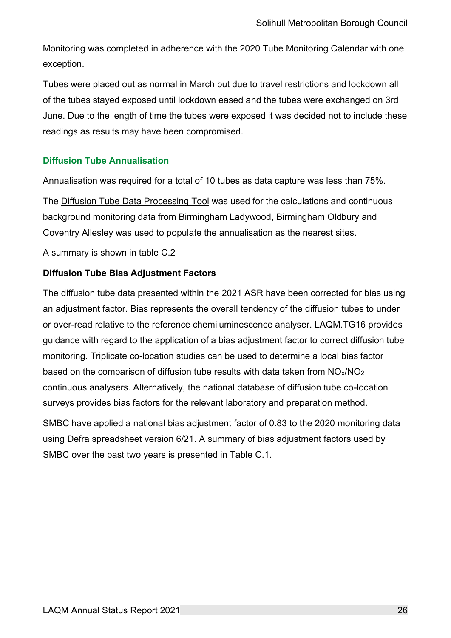Monitoring was completed in adherence with the 2020 Tube Monitoring Calendar with one exception.

Tubes were placed out as normal in March but due to travel restrictions and lockdown all of the tubes stayed exposed until lockdown eased and the tubes were exchanged on 3rd June. Due to the length of time the tubes were exposed it was decided not to include these readings as results may have been compromised.

#### <span id="page-37-0"></span>**Diffusion Tube Annualisation**

Annualisation was required for a total of 10 tubes as data capture was less than 75%.

The [Diffusion Tube Data Processing Tool](https://laqm.defra.gov.uk/tools-monitoring-data/DTDP.html) was used for the calculations and continuous background monitoring data from Birmingham Ladywood, Birmingham Oldbury and Coventry Allesley was used to populate the annualisation as the nearest sites.

<span id="page-37-1"></span>A summary is shown in table C.2

#### **Diffusion Tube Bias Adjustment Factors**

The diffusion tube data presented within the 2021 ASR have been corrected for bias using an adjustment factor. Bias represents the overall tendency of the diffusion tubes to under or over-read relative to the reference chemiluminescence analyser. LAQM.TG16 provides guidance with regard to the application of a bias adjustment factor to correct diffusion tube monitoring. Triplicate co-location studies can be used to determine a local bias factor based on the comparison of diffusion tube results with data taken from  $NO_x/NO_2$ continuous analysers. Alternatively, the national database of diffusion tube co-location surveys provides bias factors for the relevant laboratory and preparation method.

SMBC have applied a national bias adjustment factor of 0.83 to the 2020 monitoring data using Defra spreadsheet version 6/21. A summary of bias adjustment factors used by SMBC over the past two years is presented in Table C.1.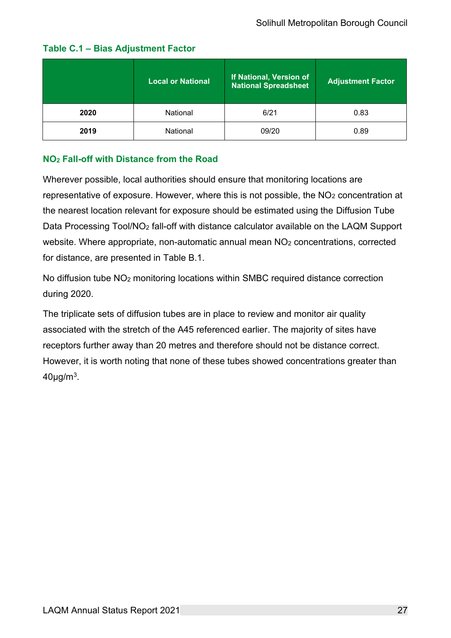|      | <b>Local or National</b> | If National, Version of<br><b>National Spreadsheet</b> | <b>Adjustment Factor</b> |  |  |
|------|--------------------------|--------------------------------------------------------|--------------------------|--|--|
| 2020 | National                 | 6/21                                                   | 0.83                     |  |  |
| 2019 | National                 | 09/20                                                  | 0.89                     |  |  |

### **Table C.1 – Bias Adjustment Factor**

### <span id="page-38-0"></span>**NO<sup>2</sup> Fall-off with Distance from the Road**

Wherever possible, local authorities should ensure that monitoring locations are representative of exposure. However, where this is not possible, the NO<sup>2</sup> concentration at the nearest location relevant for exposure should be estimated using the Diffusion Tube Data Processing Tool/NO<sub>2</sub> fall-off with distance calculator available on the LAQM Support website. Where appropriate, non-automatic annual mean NO<sub>2</sub> concentrations, corrected for distance, are presented in [Table B.1.](#page-29-1)

No diffusion tube NO<sup>2</sup> monitoring locations within SMBC required distance correction during 2020.

The triplicate sets of diffusion tubes are in place to review and monitor air quality associated with the stretch of the A45 referenced earlier. The majority of sites have receptors further away than 20 metres and therefore should not be distance correct. However, it is worth noting that none of these tubes showed concentrations greater than 40µg/m $^3\!\!$  .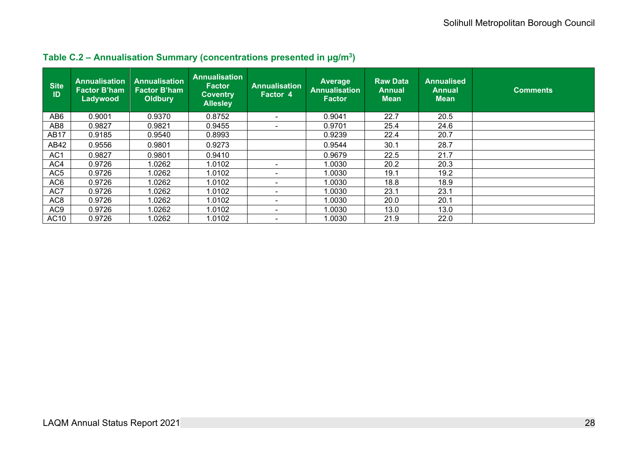<span id="page-39-0"></span>

| <b>Site</b><br>ID | <b>Annualisation</b><br><b>Factor B'ham</b><br>Ladywood | <b>Annualisation</b><br><b>Factor B'ham</b><br><b>Oldbury</b> | <b>Annualisation</b><br><b>Factor</b><br><b>Coventry</b><br><b>Allesley</b> | <b>Annualisation</b><br>Factor 4 | Average<br><b>Annualisation</b><br><b>Factor</b> | <b>Raw Data</b><br>Annual<br><b>Mean</b> | <b>Annualised</b><br><b>Annual</b><br><b>Mean</b> | <b>Comments</b> |
|-------------------|---------------------------------------------------------|---------------------------------------------------------------|-----------------------------------------------------------------------------|----------------------------------|--------------------------------------------------|------------------------------------------|---------------------------------------------------|-----------------|
| AB <sub>6</sub>   | 0.9001                                                  | 0.9370                                                        | 0.8752                                                                      |                                  | 0.9041                                           | 22.7                                     | 20.5                                              |                 |
| AB <sub>8</sub>   | 0.9827                                                  | 0.9821                                                        | 0.9455                                                                      |                                  | 0.9701                                           | 25.4                                     | 24.6                                              |                 |
| <b>AB17</b>       | 0.9185                                                  | 0.9540                                                        | 0.8993                                                                      |                                  | 0.9239                                           | 22.4                                     | 20.7                                              |                 |
| AB42              | 0.9556                                                  | 0.9801                                                        | 0.9273                                                                      |                                  | 0.9544                                           | 30.1                                     | 28.7                                              |                 |
| AC <sub>1</sub>   | 0.9827                                                  | 0.9801                                                        | 0.9410                                                                      |                                  | 0.9679                                           | 22.5                                     | 21.7                                              |                 |
| AC4               | 0.9726                                                  | 1.0262                                                        | 1.0102                                                                      |                                  | 1.0030                                           | 20.2                                     | 20.3                                              |                 |
| AC <sub>5</sub>   | 0.9726                                                  | .0262                                                         | 1.0102                                                                      | $\overline{\phantom{0}}$         | 1.0030                                           | 19.1                                     | 19.2                                              |                 |
| AC <sub>6</sub>   | 0.9726                                                  | 1.0262                                                        | 1.0102                                                                      | $\overline{\phantom{0}}$         | 1.0030                                           | 18.8                                     | 18.9                                              |                 |
| AC7               | 0.9726                                                  | 1.0262                                                        | 1.0102                                                                      | $\overline{\phantom{0}}$         | 1.0030                                           | 23.1                                     | 23.1                                              |                 |
| AC <sub>8</sub>   | 0.9726                                                  | 1.0262                                                        | 1.0102                                                                      | $\overline{\phantom{0}}$         | 1.0030                                           | 20.0                                     | 20.1                                              |                 |
| AC <sub>9</sub>   | 0.9726                                                  | 1.0262                                                        | 1.0102                                                                      | $\overline{\phantom{0}}$         | 1.0030                                           | 13.0                                     | 13.0                                              |                 |
| AC10              | 0.9726                                                  | .0262                                                         | 1.0102                                                                      | $\overline{\phantom{0}}$         | 1.0030                                           | 21.9                                     | 22.0                                              |                 |

#### **Table C.2 – Annualisation Summary (concentrations presented in µg/m<sup>3</sup> )**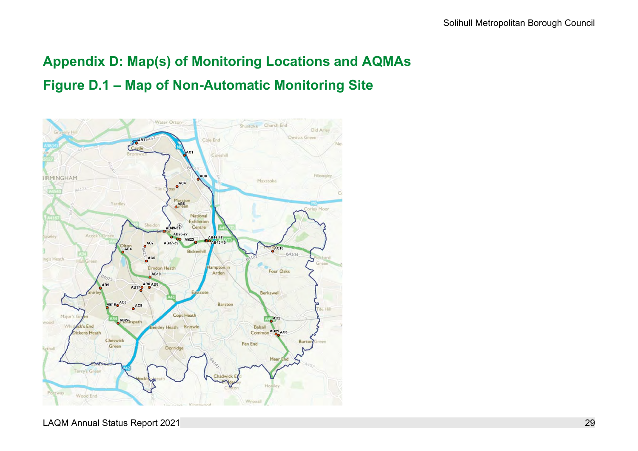### **Appendix D: Map(s) of Monitoring Locations and AQMAs Figure D.1 – Map of Non-Automatic Monitoring Site**

<span id="page-40-1"></span><span id="page-40-0"></span>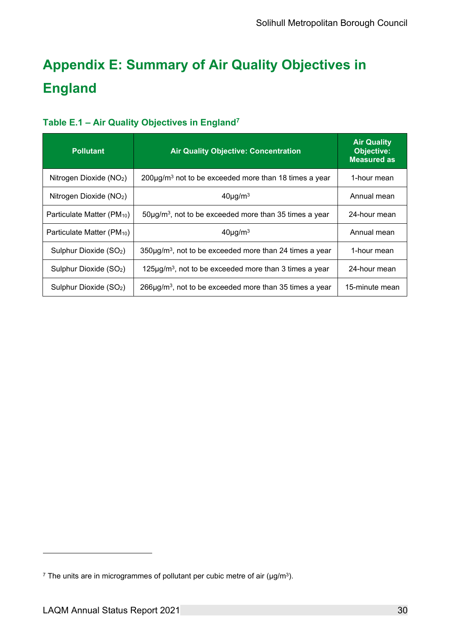### <span id="page-41-0"></span>**Appendix E: Summary of Air Quality Objectives in England**

### <span id="page-41-1"></span>**Table E.1 – Air Quality Objectives in England<sup>7</sup>**

| <b>Pollutant</b>                       | <b>Air Quality Objective: Concentration</b>                              | <b>Air Quality</b><br><b>Objective:</b><br><b>Measured as</b> |
|----------------------------------------|--------------------------------------------------------------------------|---------------------------------------------------------------|
| Nitrogen Dioxide (NO <sub>2</sub> )    | $200\mu$ g/m <sup>3</sup> not to be exceeded more than 18 times a year   | 1-hour mean                                                   |
| Nitrogen Dioxide $(NO2)$               | $40\mu g/m3$                                                             | Annual mean                                                   |
| Particulate Matter (PM <sub>10</sub> ) | $50\mu g/m3$ , not to be exceeded more than 35 times a year              | 24-hour mean                                                  |
| Particulate Matter (PM <sub>10</sub> ) | $40\mu g/m3$                                                             | Annual mean                                                   |
| Sulphur Dioxide (SO <sub>2</sub> )     | $350\mu$ g/m <sup>3</sup> , not to be exceeded more than 24 times a year | 1-hour mean                                                   |
| Sulphur Dioxide (SO <sub>2</sub> )     | $125\mu$ g/m <sup>3</sup> , not to be exceeded more than 3 times a year  | 24-hour mean                                                  |
| Sulphur Dioxide (SO <sub>2</sub> )     | $266\mu$ g/m <sup>3</sup> , not to be exceeded more than 35 times a year | 15-minute mean                                                |

 $^7$  The units are in microgrammes of pollutant per cubic metre of air (µg/m $^3$ ).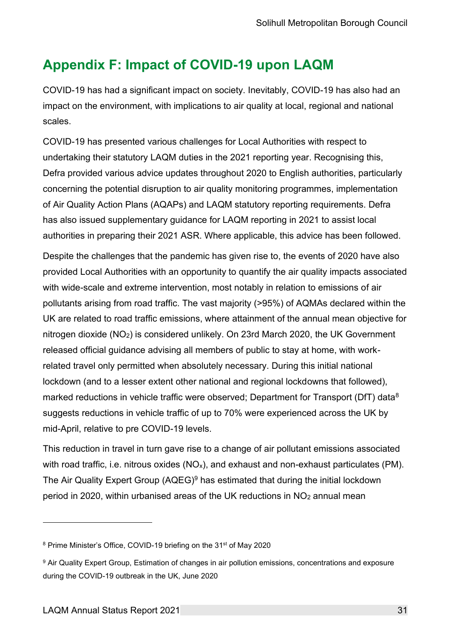### <span id="page-42-0"></span>**Appendix F: Impact of COVID-19 upon LAQM**

COVID-19 has had a significant impact on society. Inevitably, COVID-19 has also had an impact on the environment, with implications to air quality at local, regional and national scales.

COVID-19 has presented various challenges for Local Authorities with respect to undertaking their statutory LAQM duties in the 2021 reporting year. Recognising this, Defra provided various advice updates throughout 2020 to English authorities, particularly concerning the potential disruption to air quality monitoring programmes, implementation of Air Quality Action Plans (AQAPs) and LAQM statutory reporting requirements. Defra has also issued supplementary guidance for LAQM reporting in 2021 to assist local authorities in preparing their 2021 ASR. Where applicable, this advice has been followed.

Despite the challenges that the pandemic has given rise to, the events of 2020 have also provided Local Authorities with an opportunity to quantify the air quality impacts associated with wide-scale and extreme intervention, most notably in relation to emissions of air pollutants arising from road traffic. The vast majority (>95%) of AQMAs declared within the UK are related to road traffic emissions, where attainment of the annual mean objective for nitrogen dioxide (NO2) is considered unlikely. On 23rd March 2020, the UK Government released official guidance advising all members of public to stay at home, with workrelated travel only permitted when absolutely necessary. During this initial national lockdown (and to a lesser extent other national and regional lockdowns that followed), marked reductions in vehicle traffic were observed; Department for Transport (DfT) data<sup>8</sup> suggests reductions in vehicle traffic of up to 70% were experienced across the UK by mid-April, relative to pre COVID-19 levels.

This reduction in travel in turn gave rise to a change of air pollutant emissions associated with road traffic, i.e. nitrous oxides  $(NO_x)$ , and exhaust and non-exhaust particulates (PM). The Air Quality Expert Group (AQEG)<sup>9</sup> has estimated that during the initial lockdown period in 2020, within urbanised areas of the UK reductions in NO<sup>2</sup> annual mean

<sup>8</sup> Prime Minister's Office, COVID-19 briefing on the 31<sup>st</sup> of May 2020

<sup>9</sup> Air Quality Expert Group, Estimation of changes in air pollution emissions, concentrations and exposure during the COVID-19 outbreak in the UK, June 2020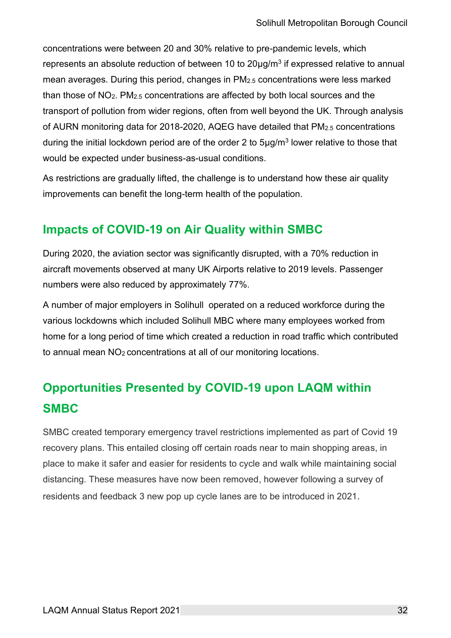concentrations were between 20 and 30% relative to pre-pandemic levels, which represents an absolute reduction of between 10 to 20 $\mu$ g/m $^3$  if expressed relative to annual mean averages. During this period, changes in PM2.5 concentrations were less marked than those of NO2. PM2.5 concentrations are affected by both local sources and the transport of pollution from wider regions, often from well beyond the UK. Through analysis of AURN monitoring data for 2018-2020, AQEG have detailed that PM2.5 concentrations during the initial lockdown period are of the order 2 to 5 $\mu$ g/m $^3$  lower relative to those that would be expected under business-as-usual conditions.

As restrictions are gradually lifted, the challenge is to understand how these air quality improvements can benefit the long-term health of the population.

### <span id="page-43-0"></span>**Impacts of COVID-19 on Air Quality within SMBC**

During 2020, the aviation sector was significantly disrupted, with a 70% reduction in aircraft movements observed at many UK Airports relative to 2019 levels. Passenger numbers were also reduced by approximately 77%.

A number of major employers in Solihull operated on a reduced workforce during the various lockdowns which included Solihull MBC where many employees worked from home for a long period of time which created a reduction in road traffic which contributed to annual mean NO2 concentrations at all of our monitoring locations.

### <span id="page-43-1"></span>**Opportunities Presented by COVID-19 upon LAQM within SMBC**

SMBC created temporary emergency travel restrictions implemented as part of Covid 19 recovery plans. This entailed closing off certain roads near to main shopping areas, in place to make it safer and easier for residents to cycle and walk while maintaining social distancing. These measures have now been removed, however following a survey of residents and feedback 3 new pop up cycle lanes are to be introduced in 2021.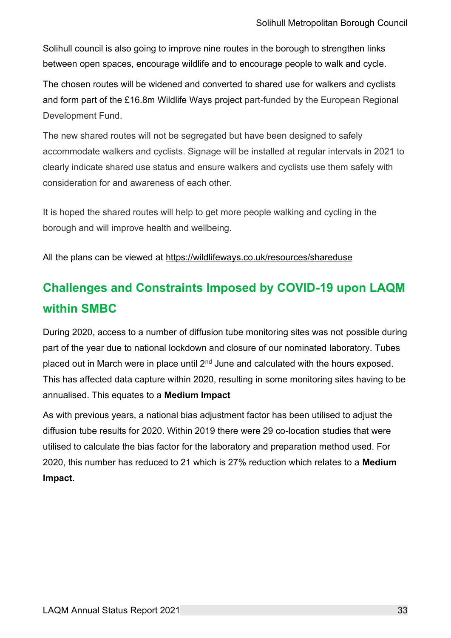Solihull council is also going to improve nine routes in the borough to strengthen links between open spaces, encourage wildlife and to encourage people to walk and cycle.

The chosen routes will be widened and converted to shared use for walkers and cyclists and form part of the £16.8m Wildlife Ways project part-funded by the European Regional Development Fund.

The new shared routes will not be segregated but have been designed to safely accommodate walkers and cyclists. Signage will be installed at regular intervals in 2021 to clearly indicate shared use status and ensure walkers and cyclists use them safely with consideration for and awareness of each other.

It is hoped the shared routes will help to get more people walking and cycling in the borough and will improve health and wellbeing.

All the plans can be viewed at<https://wildlifeways.co.uk/resources/shareduse>

### <span id="page-44-0"></span>**Challenges and Constraints Imposed by COVID-19 upon LAQM within SMBC**

During 2020, access to a number of diffusion tube monitoring sites was not possible during part of the year due to national lockdown and closure of our nominated laboratory. Tubes placed out in March were in place until  $2<sup>nd</sup>$  June and calculated with the hours exposed. This has affected data capture within 2020, resulting in some monitoring sites having to be annualised. This equates to a **Medium Impact**

As with previous years, a national bias adjustment factor has been utilised to adjust the diffusion tube results for 2020. Within 2019 there were 29 co-location studies that were utilised to calculate the bias factor for the laboratory and preparation method used. For 2020, this number has reduced to 21 which is 27% reduction which relates to a **Medium Impact.**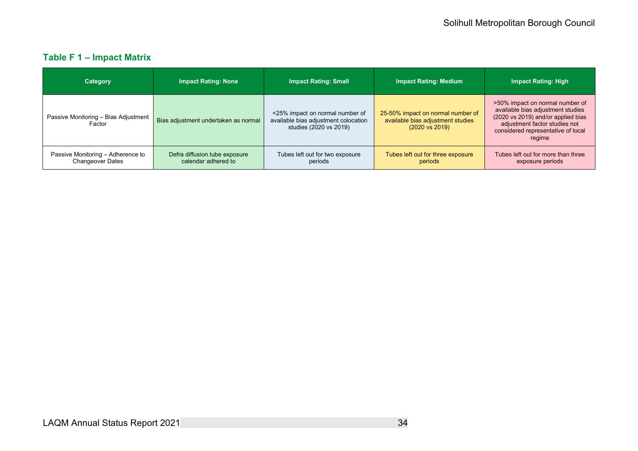### **Table F 1 – Impact Matrix**

<span id="page-45-0"></span>

| Category                                                     | <b>Impact Rating: None</b>                           | <b>Impact Rating: Small</b>                                                                       | <b>Impact Rating: Medium</b>                                                                        | <b>Impact Rating: High</b>                                                                                                                                                                  |
|--------------------------------------------------------------|------------------------------------------------------|---------------------------------------------------------------------------------------------------|-----------------------------------------------------------------------------------------------------|---------------------------------------------------------------------------------------------------------------------------------------------------------------------------------------------|
| Passive Monitoring - Bias Adjustment<br>Factor               | Bias adjustment undertaken as normal                 | <25% impact on normal number of<br>available bias adjustment colocation<br>studies (2020 vs 2019) | 25-50% impact on normal number of<br>available bias adjustment studies<br>$(2020 \text{ vs } 2019)$ | >50% impact on normal number of<br>available bias adjustment studies<br>(2020 vs 2019) and/or applied bias<br>adjustment factor studies not<br>considered representative of local<br>regime |
| Passive Monitoring - Adherence to<br><b>Changeover Dates</b> | Defra diffusion tube exposure<br>calendar adhered to | Tubes left out for two exposure<br>periods                                                        | Tubes left out for three exposure<br>periods                                                        | Tubes left out for more than three<br>exposure periods                                                                                                                                      |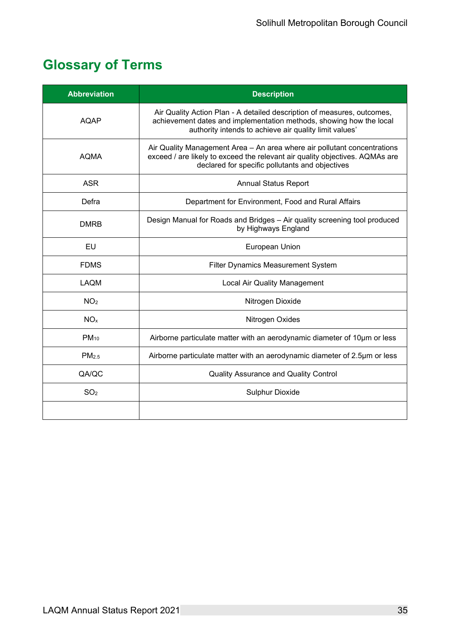### <span id="page-46-0"></span>**Glossary of Terms**

| <b>Abbreviation</b>                                                                            | <b>Description</b>                                                                                                                                                                                          |
|------------------------------------------------------------------------------------------------|-------------------------------------------------------------------------------------------------------------------------------------------------------------------------------------------------------------|
| <b>AQAP</b>                                                                                    | Air Quality Action Plan - A detailed description of measures, outcomes,<br>achievement dates and implementation methods, showing how the local<br>authority intends to achieve air quality limit values'    |
| <b>AOMA</b>                                                                                    | Air Quality Management Area - An area where air pollutant concentrations<br>exceed / are likely to exceed the relevant air quality objectives. AQMAs are<br>declared for specific pollutants and objectives |
| <b>ASR</b>                                                                                     | <b>Annual Status Report</b>                                                                                                                                                                                 |
| Defra                                                                                          | Department for Environment, Food and Rural Affairs                                                                                                                                                          |
| <b>DMRB</b>                                                                                    | Design Manual for Roads and Bridges - Air quality screening tool produced<br>by Highways England                                                                                                            |
| EU                                                                                             | European Union                                                                                                                                                                                              |
| <b>FDMS</b>                                                                                    | <b>Filter Dynamics Measurement System</b>                                                                                                                                                                   |
| <b>LAQM</b>                                                                                    | <b>Local Air Quality Management</b>                                                                                                                                                                         |
| NO <sub>2</sub>                                                                                | Nitrogen Dioxide                                                                                                                                                                                            |
| NO <sub>x</sub>                                                                                | Nitrogen Oxides                                                                                                                                                                                             |
| $PM_{10}$                                                                                      | Airborne particulate matter with an aerodynamic diameter of 10um or less                                                                                                                                    |
| Airborne particulate matter with an aerodynamic diameter of 2.5µm or less<br>PM <sub>2.5</sub> |                                                                                                                                                                                                             |
| QA/QC                                                                                          | <b>Quality Assurance and Quality Control</b>                                                                                                                                                                |
| SO <sub>2</sub>                                                                                | <b>Sulphur Dioxide</b>                                                                                                                                                                                      |
|                                                                                                |                                                                                                                                                                                                             |